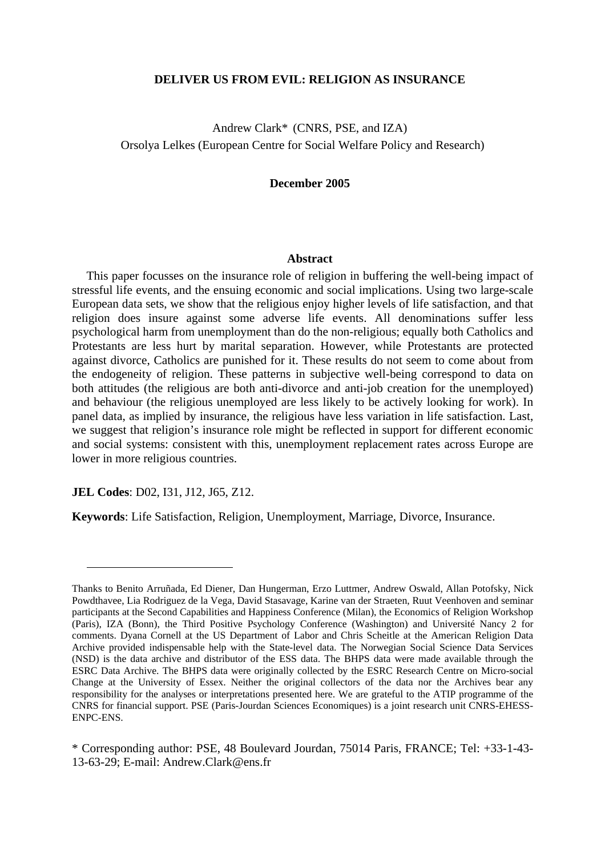## **DELIVER US FROM EVIL: RELIGION AS INSURANCE**

Andrew Clark\* (CNRS, PSE, and IZA) Orsolya Lelkes (European Centre for Social Welfare Policy and Research)

## **December 2005**

#### **Abstract**

This paper focusses on the insurance role of religion in buffering the well-being impact of stressful life events, and the ensuing economic and social implications. Using two large-scale European data sets, we show that the religious enjoy higher levels of life satisfaction, and that religion does insure against some adverse life events. All denominations suffer less psychological harm from unemployment than do the non-religious; equally both Catholics and Protestants are less hurt by marital separation. However, while Protestants are protected against divorce, Catholics are punished for it. These results do not seem to come about from the endogeneity of religion. These patterns in subjective well-being correspond to data on both attitudes (the religious are both anti-divorce and anti-job creation for the unemployed) and behaviour (the religious unemployed are less likely to be actively looking for work). In panel data, as implied by insurance, the religious have less variation in life satisfaction. Last, we suggest that religion's insurance role might be reflected in support for different economic and social systems: consistent with this, unemployment replacement rates across Europe are lower in more religious countries.

**JEL Codes**: D02, I31, J12, J65, Z12.

 $\overline{a}$ 

**Keywords**: Life Satisfaction, Religion, Unemployment, Marriage, Divorce, Insurance.

Thanks to Benito Arruñada, Ed Diener, Dan Hungerman, Erzo Luttmer, Andrew Oswald, Allan Potofsky, Nick Powdthavee, Lia Rodriguez de la Vega, David Stasavage, Karine van der Straeten, Ruut Veenhoven and seminar participants at the Second Capabilities and Happiness Conference (Milan), the Economics of Religion Workshop (Paris), IZA (Bonn), the Third Positive Psychology Conference (Washington) and Université Nancy 2 for comments. Dyana Cornell at the US Department of Labor and Chris Scheitle at the American Religion Data Archive provided indispensable help with the State-level data. The Norwegian Social Science Data Services (NSD) is the data archive and distributor of the ESS data. The BHPS data were made available through the ESRC Data Archive. The BHPS data were originally collected by the ESRC Research Centre on Micro-social Change at the University of Essex. Neither the original collectors of the data nor the Archives bear any responsibility for the analyses or interpretations presented here. We are grateful to the ATIP programme of the CNRS for financial support. PSE (Paris-Jourdan Sciences Economiques) is a joint research unit CNRS-EHESS-ENPC-ENS.

<sup>\*</sup> Corresponding author: PSE, 48 Boulevard Jourdan, 75014 Paris, FRANCE; Tel: +33-1-43- 13-63-29; E-mail: Andrew.Clark@ens.fr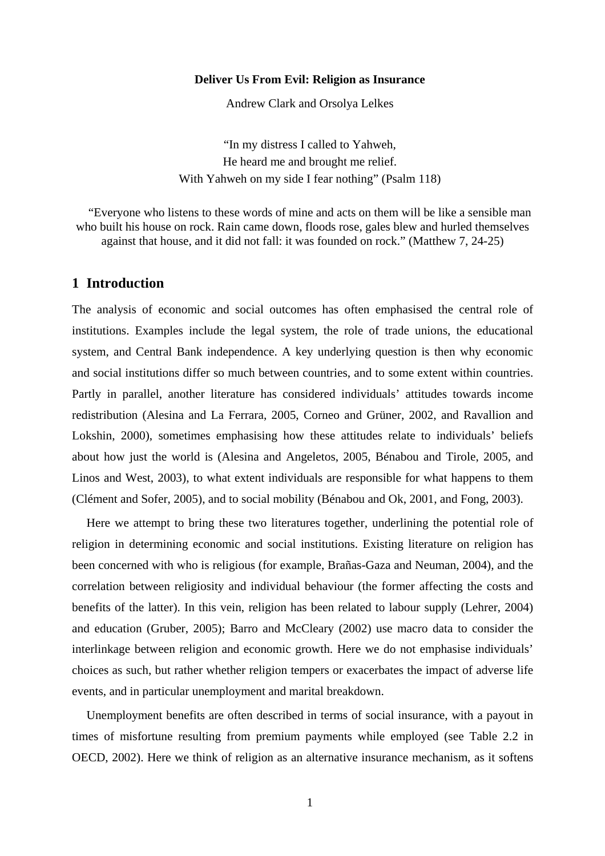## **Deliver Us From Evil: Religion as Insurance**

Andrew Clark and Orsolya Lelkes

"In my distress I called to Yahweh, He heard me and brought me relief. With Yahweh on my side I fear nothing" (Psalm 118)

"Everyone who listens to these words of mine and acts on them will be like a sensible man who built his house on rock. Rain came down, floods rose, gales blew and hurled themselves against that house, and it did not fall: it was founded on rock." (Matthew 7, 24-25)

# **1 Introduction**

The analysis of economic and social outcomes has often emphasised the central role of institutions. Examples include the legal system, the role of trade unions, the educational system, and Central Bank independence. A key underlying question is then why economic and social institutions differ so much between countries, and to some extent within countries. Partly in parallel, another literature has considered individuals' attitudes towards income redistribution (Alesina and La Ferrara, 2005, Corneo and Grüner, 2002, and Ravallion and Lokshin, 2000), sometimes emphasising how these attitudes relate to individuals' beliefs about how just the world is (Alesina and Angeletos, 2005, Bénabou and Tirole, 2005, and Linos and West, 2003), to what extent individuals are responsible for what happens to them (Clément and Sofer, 2005), and to social mobility (Bénabou and Ok, 2001, and Fong, 2003).

Here we attempt to bring these two literatures together, underlining the potential role of religion in determining economic and social institutions. Existing literature on religion has been concerned with who is religious (for example, Brañas-Gaza and Neuman, 2004), and the correlation between religiosity and individual behaviour (the former affecting the costs and benefits of the latter). In this vein, religion has been related to labour supply (Lehrer, 2004) and education (Gruber, 2005); Barro and McCleary (2002) use macro data to consider the interlinkage between religion and economic growth. Here we do not emphasise individuals' choices as such, but rather whether religion tempers or exacerbates the impact of adverse life events, and in particular unemployment and marital breakdown.

Unemployment benefits are often described in terms of social insurance, with a payout in times of misfortune resulting from premium payments while employed (see Table 2.2 in OECD, 2002). Here we think of religion as an alternative insurance mechanism, as it softens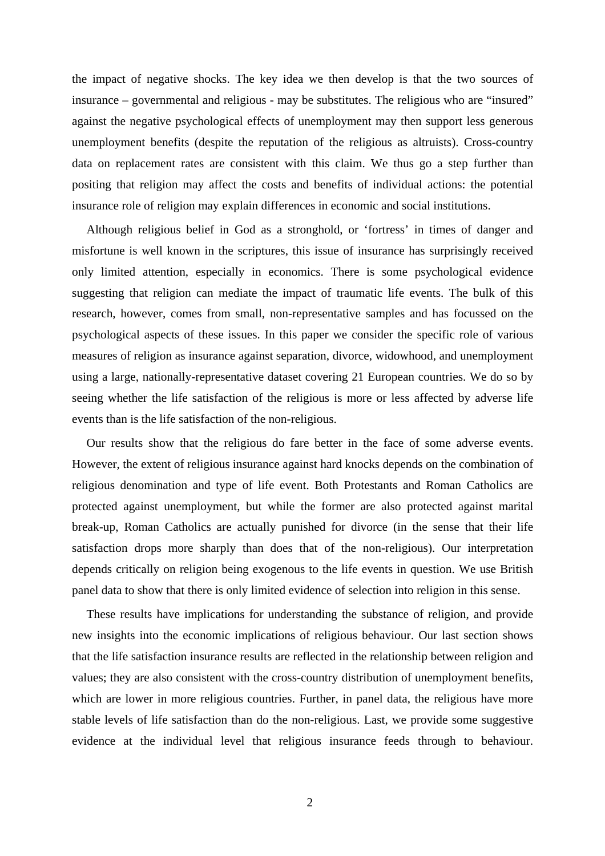the impact of negative shocks. The key idea we then develop is that the two sources of insurance – governmental and religious - may be substitutes. The religious who are "insured" against the negative psychological effects of unemployment may then support less generous unemployment benefits (despite the reputation of the religious as altruists). Cross-country data on replacement rates are consistent with this claim. We thus go a step further than positing that religion may affect the costs and benefits of individual actions: the potential insurance role of religion may explain differences in economic and social institutions.

Although religious belief in God as a stronghold, or 'fortress' in times of danger and misfortune is well known in the scriptures, this issue of insurance has surprisingly received only limited attention, especially in economics. There is some psychological evidence suggesting that religion can mediate the impact of traumatic life events. The bulk of this research, however, comes from small, non-representative samples and has focussed on the psychological aspects of these issues. In this paper we consider the specific role of various measures of religion as insurance against separation, divorce, widowhood, and unemployment using a large, nationally-representative dataset covering 21 European countries. We do so by seeing whether the life satisfaction of the religious is more or less affected by adverse life events than is the life satisfaction of the non-religious.

Our results show that the religious do fare better in the face of some adverse events. However, the extent of religious insurance against hard knocks depends on the combination of religious denomination and type of life event. Both Protestants and Roman Catholics are protected against unemployment, but while the former are also protected against marital break-up, Roman Catholics are actually punished for divorce (in the sense that their life satisfaction drops more sharply than does that of the non-religious). Our interpretation depends critically on religion being exogenous to the life events in question. We use British panel data to show that there is only limited evidence of selection into religion in this sense.

These results have implications for understanding the substance of religion, and provide new insights into the economic implications of religious behaviour. Our last section shows that the life satisfaction insurance results are reflected in the relationship between religion and values; they are also consistent with the cross-country distribution of unemployment benefits, which are lower in more religious countries. Further, in panel data, the religious have more stable levels of life satisfaction than do the non-religious. Last, we provide some suggestive evidence at the individual level that religious insurance feeds through to behaviour.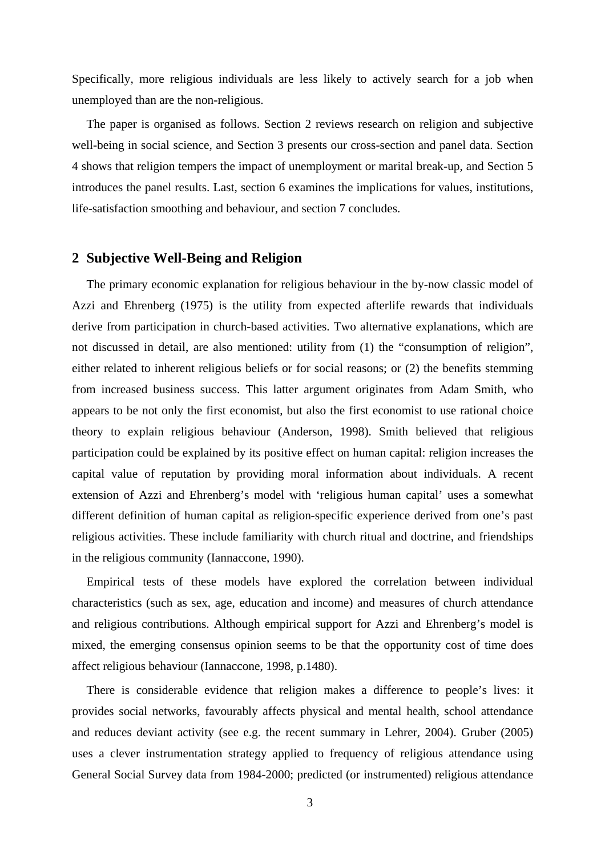Specifically, more religious individuals are less likely to actively search for a job when unemployed than are the non-religious.

The paper is organised as follows. Section 2 reviews research on religion and subjective well-being in social science, and Section 3 presents our cross-section and panel data. Section 4 shows that religion tempers the impact of unemployment or marital break-up, and Section 5 introduces the panel results. Last, section 6 examines the implications for values, institutions, life-satisfaction smoothing and behaviour, and section 7 concludes.

## **2 Subjective Well-Being and Religion**

The primary economic explanation for religious behaviour in the by-now classic model of Azzi and Ehrenberg (1975) is the utility from expected afterlife rewards that individuals derive from participation in church-based activities. Two alternative explanations, which are not discussed in detail, are also mentioned: utility from (1) the "consumption of religion", either related to inherent religious beliefs or for social reasons; or (2) the benefits stemming from increased business success. This latter argument originates from Adam Smith, who appears to be not only the first economist, but also the first economist to use rational choice theory to explain religious behaviour (Anderson, 1998). Smith believed that religious participation could be explained by its positive effect on human capital: religion increases the capital value of reputation by providing moral information about individuals. A recent extension of Azzi and Ehrenberg's model with 'religious human capital' uses a somewhat different definition of human capital as religion-specific experience derived from one's past religious activities. These include familiarity with church ritual and doctrine, and friendships in the religious community (Iannaccone, 1990).

Empirical tests of these models have explored the correlation between individual characteristics (such as sex, age, education and income) and measures of church attendance and religious contributions. Although empirical support for Azzi and Ehrenberg's model is mixed, the emerging consensus opinion seems to be that the opportunity cost of time does affect religious behaviour (Iannaccone, 1998, p.1480).

There is considerable evidence that religion makes a difference to people's lives: it provides social networks, favourably affects physical and mental health, school attendance and reduces deviant activity (see e.g. the recent summary in Lehrer, 2004). Gruber (2005) uses a clever instrumentation strategy applied to frequency of religious attendance using General Social Survey data from 1984-2000; predicted (or instrumented) religious attendance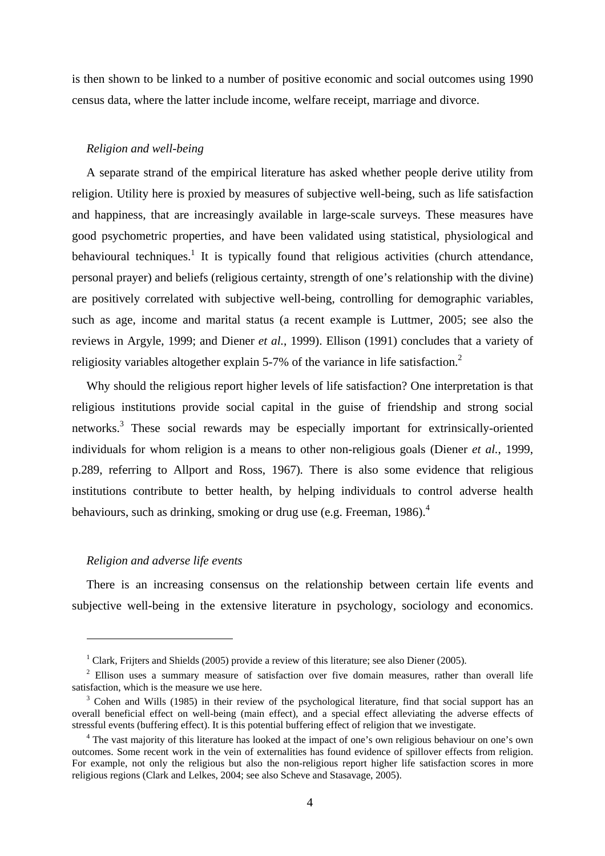is then shown to be linked to a number of positive economic and social outcomes using 1990 census data, where the latter include income, welfare receipt, marriage and divorce.

#### *Religion and well-being*

A separate strand of the empirical literature has asked whether people derive utility from religion. Utility here is proxied by measures of subjective well-being, such as life satisfaction and happiness, that are increasingly available in large-scale surveys. These measures have good psychometric properties, and have been validated using statistical, physiological and behavioural techniques.<sup>1</sup> It is typically found that religious activities (church attendance, personal prayer) and beliefs (religious certainty, strength of one's relationship with the divine) are positively correlated with subjective well-being, controlling for demographic variables, such as age, income and marital status (a recent example is Luttmer, 2005; see also the reviews in Argyle, 1999; and Diener *et al.*, 1999). Ellison (1991) concludes that a variety of religiosity variables altogether explain 5-7% of the variance in life satisfaction.<sup>2</sup>

Why should the religious report higher levels of life satisfaction? One interpretation is that religious institutions provide social capital in the guise of friendship and strong social networks.<sup>3</sup> These social rewards may be especially important for extrinsically-oriented individuals for whom religion is a means to other non-religious goals (Diener *et al.*, 1999, p.289, referring to Allport and Ross, 1967)*.* There is also some evidence that religious institutions contribute to better health, by helping individuals to control adverse health behaviours, such as drinking, smoking or drug use (e.g. Freeman, 1986). $4$ 

#### *Religion and adverse life events*

 $\overline{a}$ 

There is an increasing consensus on the relationship between certain life events and subjective well-being in the extensive literature in psychology, sociology and economics.

<sup>&</sup>lt;sup>1</sup> Clark, Frijters and Shields (2005) provide a review of this literature; see also Diener (2005).

<sup>&</sup>lt;sup>2</sup> Ellison uses a summary measure of satisfaction over five domain measures, rather than overall life satisfaction, which is the measure we use here.

<sup>&</sup>lt;sup>3</sup> Cohen and Wills (1985) in their review of the psychological literature, find that social support has an overall beneficial effect on well-being (main effect), and a special effect alleviating the adverse effects of stressful events (buffering effect). It is this potential buffering effect of religion that we investigate. 4

<sup>&</sup>lt;sup>4</sup> The vast majority of this literature has looked at the impact of one's own religious behaviour on one's own outcomes. Some recent work in the vein of externalities has found evidence of spillover effects from religion. For example, not only the religious but also the non-religious report higher life satisfaction scores in more religious regions (Clark and Lelkes, 2004; see also Scheve and Stasavage, 2005).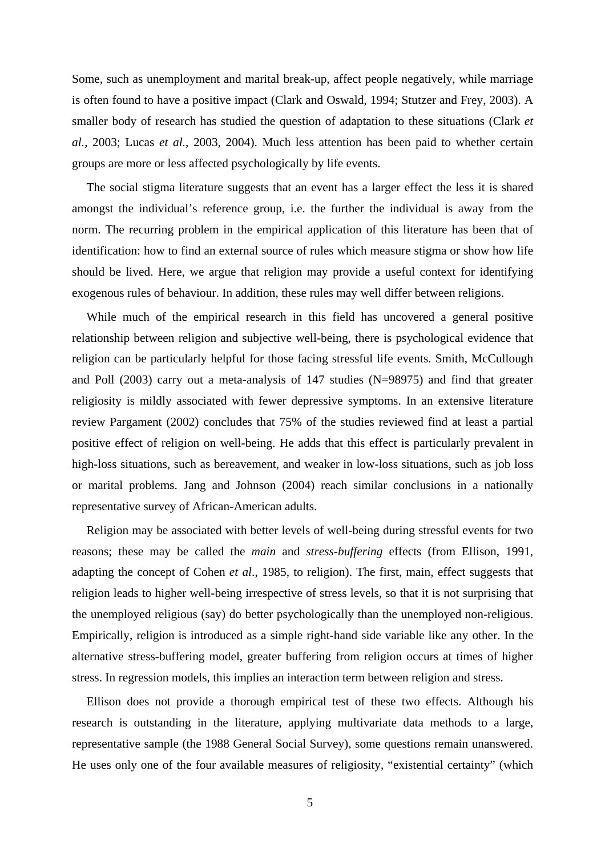Some, such as unemployment and marital break-up, affect people negatively, while marriage is often found to have a positive impact (Clark and Oswald, 1994; Stutzer and Frey, 2003). A smaller body of research has studied the question of adaptation to these situations (Clark *et al.*, 2003; Lucas *et al.*, 2003, 2004). Much less attention has been paid to whether certain groups are more or less affected psychologically by life events.

The social stigma literature suggests that an event has a larger effect the less it is shared amongst the individual's reference group, i.e. the further the individual is away from the norm. The recurring problem in the empirical application of this literature has been that of identification: how to find an external source of rules which measure stigma or show how life should be lived. Here, we argue that religion may provide a useful context for identifying exogenous rules of behaviour. In addition, these rules may well differ between religions.

While much of the empirical research in this field has uncovered a general positive relationship between religion and subjective well-being, there is psychological evidence that religion can be particularly helpful for those facing stressful life events. Smith, McCullough and Poll (2003) carry out a meta-analysis of 147 studies (N=98975) and find that greater religiosity is mildly associated with fewer depressive symptoms. In an extensive literature review Pargament (2002) concludes that 75% of the studies reviewed find at least a partial positive effect of religion on well-being. He adds that this effect is particularly prevalent in high-loss situations, such as bereavement, and weaker in low-loss situations, such as job loss or marital problems. Jang and Johnson (2004) reach similar conclusions in a nationally representative survey of African-American adults.

Religion may be associated with better levels of well-being during stressful events for two reasons; these may be called the *main* and *stress-buffering* effects (from Ellison, 1991, adapting the concept of Cohen *et al*., 1985, to religion). The first, main, effect suggests that religion leads to higher well-being irrespective of stress levels, so that it is not surprising that the unemployed religious (say) do better psychologically than the unemployed non-religious. Empirically, religion is introduced as a simple right-hand side variable like any other. In the alternative stress-buffering model, greater buffering from religion occurs at times of higher stress. In regression models, this implies an interaction term between religion and stress.

Ellison does not provide a thorough empirical test of these two effects. Although his research is outstanding in the literature, applying multivariate data methods to a large, representative sample (the 1988 General Social Survey), some questions remain unanswered. He uses only one of the four available measures of religiosity, "existential certainty" (which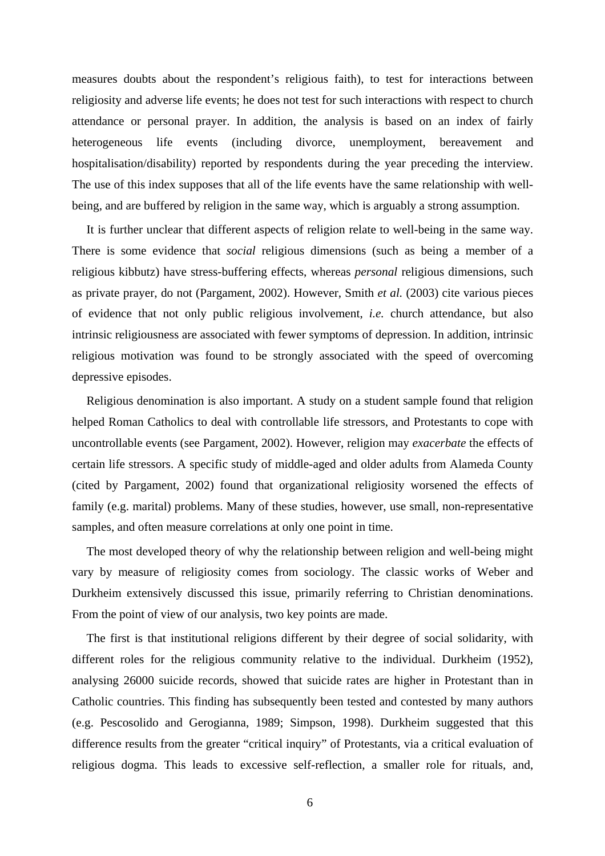measures doubts about the respondent's religious faith), to test for interactions between religiosity and adverse life events; he does not test for such interactions with respect to church attendance or personal prayer. In addition, the analysis is based on an index of fairly heterogeneous life events (including divorce, unemployment, bereavement and hospitalisation/disability) reported by respondents during the year preceding the interview. The use of this index supposes that all of the life events have the same relationship with wellbeing, and are buffered by religion in the same way, which is arguably a strong assumption.

It is further unclear that different aspects of religion relate to well-being in the same way. There is some evidence that *social* religious dimensions (such as being a member of a religious kibbutz) have stress-buffering effects, whereas *personal* religious dimensions, such as private prayer, do not (Pargament, 2002). However, Smith *et al.* (2003) cite various pieces of evidence that not only public religious involvement, *i.e.* church attendance, but also intrinsic religiousness are associated with fewer symptoms of depression. In addition, intrinsic religious motivation was found to be strongly associated with the speed of overcoming depressive episodes.

Religious denomination is also important. A study on a student sample found that religion helped Roman Catholics to deal with controllable life stressors, and Protestants to cope with uncontrollable events (see Pargament, 2002). However, religion may *exacerbate* the effects of certain life stressors. A specific study of middle-aged and older adults from Alameda County (cited by Pargament, 2002) found that organizational religiosity worsened the effects of family (e.g. marital) problems. Many of these studies, however, use small, non-representative samples, and often measure correlations at only one point in time.

The most developed theory of why the relationship between religion and well-being might vary by measure of religiosity comes from sociology. The classic works of Weber and Durkheim extensively discussed this issue, primarily referring to Christian denominations. From the point of view of our analysis, two key points are made.

The first is that institutional religions different by their degree of social solidarity, with different roles for the religious community relative to the individual. Durkheim (1952), analysing 26000 suicide records, showed that suicide rates are higher in Protestant than in Catholic countries. This finding has subsequently been tested and contested by many authors (e.g. Pescosolido and Gerogianna, 1989; Simpson, 1998). Durkheim suggested that this difference results from the greater "critical inquiry" of Protestants, via a critical evaluation of religious dogma. This leads to excessive self-reflection, a smaller role for rituals, and,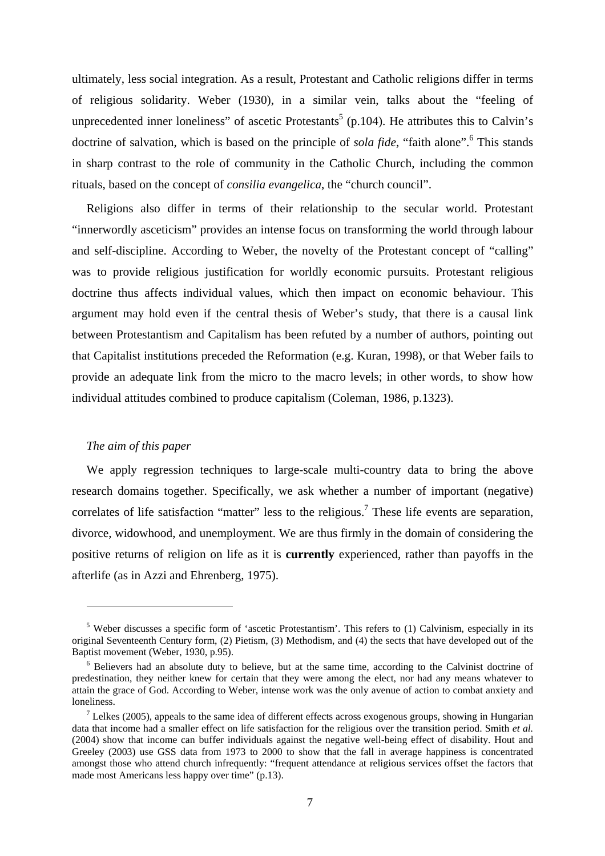ultimately, less social integration. As a result, Protestant and Catholic religions differ in terms of religious solidarity. Weber (1930), in a similar vein, talks about the "feeling of unprecedented inner loneliness" of ascetic Protestants<sup>5</sup> (p.104). He attributes this to Calvin's doctrine of salvation, which is based on the principle of *sola fide*, "faith alone".<sup>6</sup> This stands in sharp contrast to the role of community in the Catholic Church, including the common rituals, based on the concept of *consilia evangelica*, the "church council".

Religions also differ in terms of their relationship to the secular world. Protestant "innerwordly asceticism" provides an intense focus on transforming the world through labour and self-discipline. According to Weber, the novelty of the Protestant concept of "calling" was to provide religious justification for worldly economic pursuits. Protestant religious doctrine thus affects individual values, which then impact on economic behaviour. This argument may hold even if the central thesis of Weber's study, that there is a causal link between Protestantism and Capitalism has been refuted by a number of authors, pointing out that Capitalist institutions preceded the Reformation (e.g. Kuran, 1998), or that Weber fails to provide an adequate link from the micro to the macro levels; in other words, to show how individual attitudes combined to produce capitalism (Coleman, 1986, p.1323).

## *The aim of this paper*

 $\overline{a}$ 

We apply regression techniques to large-scale multi-country data to bring the above research domains together. Specifically, we ask whether a number of important (negative) correlates of life satisfaction "matter" less to the religious.<sup>7</sup> These life events are separation, divorce, widowhood, and unemployment. We are thus firmly in the domain of considering the positive returns of religion on life as it is **currently** experienced, rather than payoffs in the afterlife (as in Azzi and Ehrenberg, 1975).

<sup>&</sup>lt;sup>5</sup> Weber discusses a specific form of 'ascetic Protestantism'. This refers to (1) Calvinism, especially in its original Seventeenth Century form, (2) Pietism, (3) Methodism, and (4) the sects that have developed out of the Baptist movement (Weber, 1930, p.95).

 $6$  Believers had an absolute duty to believe, but at the same time, according to the Calvinist doctrine of predestination, they neither knew for certain that they were among the elect, nor had any means whatever to attain the grace of God. According to Weber, intense work was the only avenue of action to combat anxiety and loneliness.

<sup>&</sup>lt;sup>7</sup> Lelkes (2005), appeals to the same idea of different effects across exogenous groups, showing in Hungarian data that income had a smaller effect on life satisfaction for the religious over the transition period. Smith *et al.* (2004) show that income can buffer individuals against the negative well-being effect of disability. Hout and Greeley (2003) use GSS data from 1973 to 2000 to show that the fall in average happiness is concentrated amongst those who attend church infrequently: "frequent attendance at religious services offset the factors that made most Americans less happy over time" (p.13).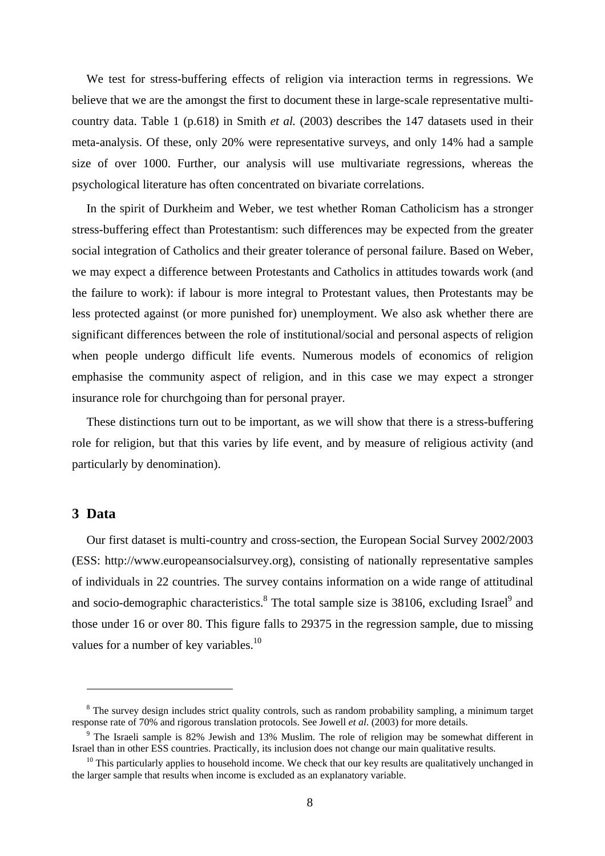We test for stress-buffering effects of religion via interaction terms in regressions. We believe that we are the amongst the first to document these in large-scale representative multicountry data. Table 1 (p.618) in Smith *et al.* (2003) describes the 147 datasets used in their meta-analysis. Of these, only 20% were representative surveys, and only 14% had a sample size of over 1000. Further, our analysis will use multivariate regressions, whereas the psychological literature has often concentrated on bivariate correlations.

In the spirit of Durkheim and Weber, we test whether Roman Catholicism has a stronger stress-buffering effect than Protestantism: such differences may be expected from the greater social integration of Catholics and their greater tolerance of personal failure. Based on Weber, we may expect a difference between Protestants and Catholics in attitudes towards work (and the failure to work): if labour is more integral to Protestant values, then Protestants may be less protected against (or more punished for) unemployment. We also ask whether there are significant differences between the role of institutional/social and personal aspects of religion when people undergo difficult life events. Numerous models of economics of religion emphasise the community aspect of religion, and in this case we may expect a stronger insurance role for churchgoing than for personal prayer.

These distinctions turn out to be important, as we will show that there is a stress-buffering role for religion, but that this varies by life event, and by measure of religious activity (and particularly by denomination).

## **3 Data**

 $\overline{a}$ 

Our first dataset is multi-country and cross-section, the European Social Survey 2002/2003 (ESS: http://www.europeansocialsurvey.org), consisting of nationally representative samples of individuals in 22 countries. The survey contains information on a wide range of attitudinal and socio-demographic characteristics.<sup>8</sup> The total sample size is 38106, excluding Israel<sup>9</sup> and those under 16 or over 80. This figure falls to 29375 in the regression sample, due to missing values for a number of key variables.<sup>10</sup>

<sup>&</sup>lt;sup>8</sup> The survey design includes strict quality controls, such as random probability sampling, a minimum target response rate of 70% and rigorous translation protocols. See Jowell *et al*. (2003) for more details.

<sup>&</sup>lt;sup>9</sup> The Israeli sample is 82% Jewish and 13% Muslim. The role of religion may be somewhat different in Israel than in other ESS countries. Practically, its inclusion does not change our main qualitative results. 10 This particularly applies to household income. We check that our key results are qualitatively unchanged in

the larger sample that results when income is excluded as an explanatory variable.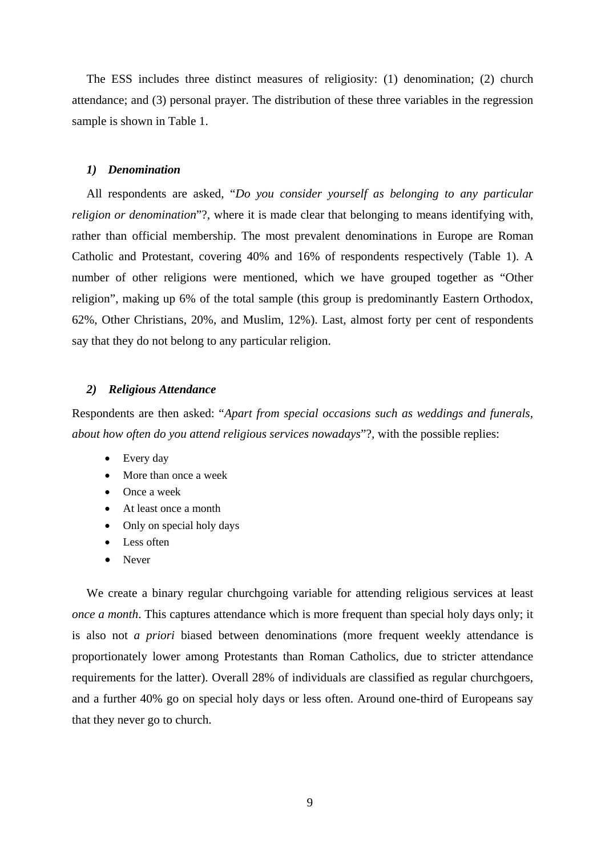The ESS includes three distinct measures of religiosity: (1) denomination; (2) church attendance; and (3) personal prayer. The distribution of these three variables in the regression sample is shown in Table 1.

#### *1) Denomination*

All respondents are asked, "*Do you consider yourself as belonging to any particular religion or denomination*"?, where it is made clear that belonging to means identifying with, rather than official membership. The most prevalent denominations in Europe are Roman Catholic and Protestant, covering 40% and 16% of respondents respectively (Table 1). A number of other religions were mentioned, which we have grouped together as "Other religion", making up 6% of the total sample (this group is predominantly Eastern Orthodox, 62%, Other Christians, 20%, and Muslim, 12%). Last, almost forty per cent of respondents say that they do not belong to any particular religion.

#### *2) Religious Attendance*

Respondents are then asked: "*Apart from special occasions such as weddings and funerals, about how often do you attend religious services nowadays*"?, with the possible replies:

- Every day
- More than once a week
- Once a week
- At least once a month
- Only on special holy days
- Less often
- Never

We create a binary regular churchgoing variable for attending religious services at least *once a month*. This captures attendance which is more frequent than special holy days only; it is also not *a priori* biased between denominations (more frequent weekly attendance is proportionately lower among Protestants than Roman Catholics, due to stricter attendance requirements for the latter). Overall 28% of individuals are classified as regular churchgoers, and a further 40% go on special holy days or less often. Around one-third of Europeans say that they never go to church.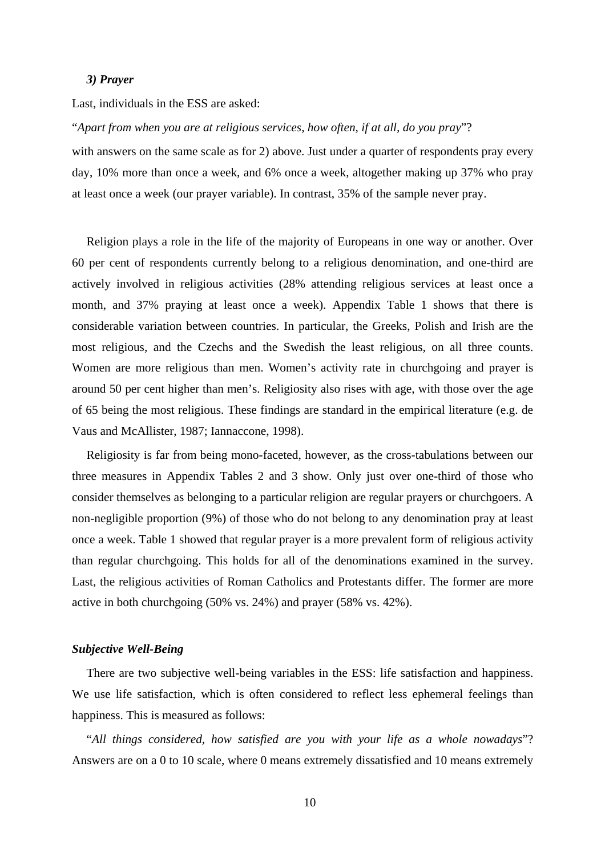#### *3) Prayer*

Last, individuals in the ESS are asked:

"*Apart from when you are at religious services, how often, if at all, do you pray*"?

with answers on the same scale as for 2) above. Just under a quarter of respondents pray every day, 10% more than once a week, and 6% once a week, altogether making up 37% who pray at least once a week (our prayer variable). In contrast, 35% of the sample never pray.

Religion plays a role in the life of the majority of Europeans in one way or another. Over 60 per cent of respondents currently belong to a religious denomination, and one-third are actively involved in religious activities (28% attending religious services at least once a month, and 37% praying at least once a week). Appendix Table 1 shows that there is considerable variation between countries. In particular, the Greeks, Polish and Irish are the most religious, and the Czechs and the Swedish the least religious, on all three counts. Women are more religious than men. Women's activity rate in churchgoing and prayer is around 50 per cent higher than men's. Religiosity also rises with age, with those over the age of 65 being the most religious. These findings are standard in the empirical literature (e.g. de Vaus and McAllister, 1987; Iannaccone, 1998).

Religiosity is far from being mono-faceted, however, as the cross-tabulations between our three measures in Appendix Tables 2 and 3 show. Only just over one-third of those who consider themselves as belonging to a particular religion are regular prayers or churchgoers. A non-negligible proportion (9%) of those who do not belong to any denomination pray at least once a week. Table 1 showed that regular prayer is a more prevalent form of religious activity than regular churchgoing. This holds for all of the denominations examined in the survey. Last, the religious activities of Roman Catholics and Protestants differ. The former are more active in both churchgoing (50% vs. 24%) and prayer (58% vs. 42%).

#### *Subjective Well-Being*

There are two subjective well-being variables in the ESS: life satisfaction and happiness. We use life satisfaction, which is often considered to reflect less ephemeral feelings than happiness. This is measured as follows:

"*All things considered, how satisfied are you with your life as a whole nowadays*"? Answers are on a 0 to 10 scale, where 0 means extremely dissatisfied and 10 means extremely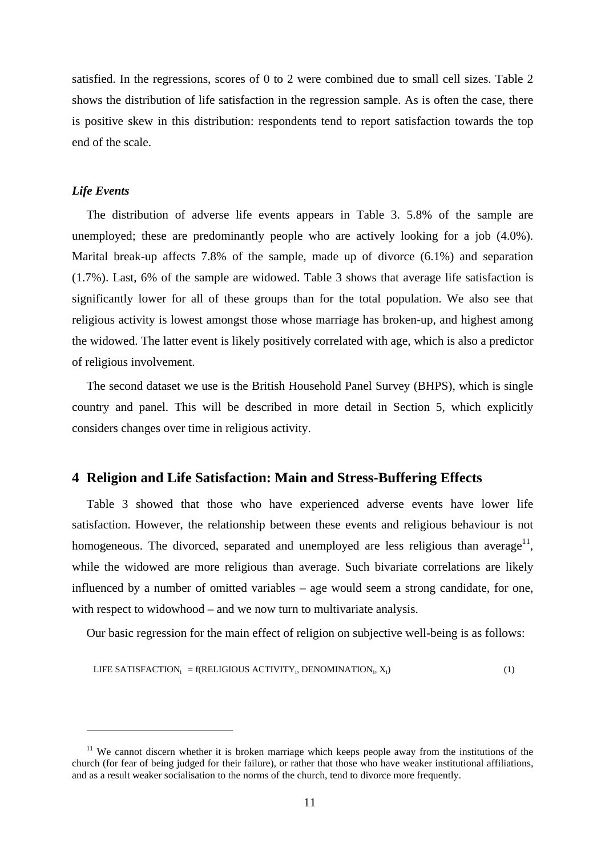satisfied. In the regressions, scores of 0 to 2 were combined due to small cell sizes. Table 2 shows the distribution of life satisfaction in the regression sample. As is often the case, there is positive skew in this distribution: respondents tend to report satisfaction towards the top end of the scale.

#### *Life Events*

 $\overline{a}$ 

The distribution of adverse life events appears in Table 3. 5.8% of the sample are unemployed; these are predominantly people who are actively looking for a job (4.0%). Marital break-up affects 7.8% of the sample, made up of divorce (6.1%) and separation (1.7%). Last, 6% of the sample are widowed. Table 3 shows that average life satisfaction is significantly lower for all of these groups than for the total population. We also see that religious activity is lowest amongst those whose marriage has broken-up, and highest among the widowed. The latter event is likely positively correlated with age, which is also a predictor of religious involvement.

The second dataset we use is the British Household Panel Survey (BHPS), which is single country and panel. This will be described in more detail in Section 5, which explicitly considers changes over time in religious activity.

## **4 Religion and Life Satisfaction: Main and Stress-Buffering Effects**

Table 3 showed that those who have experienced adverse events have lower life satisfaction. However, the relationship between these events and religious behaviour is not homogeneous. The divorced, separated and unemployed are less religious than average<sup>11</sup>, while the widowed are more religious than average. Such bivariate correlations are likely influenced by a number of omitted variables – age would seem a strong candidate, for one, with respect to widowhood – and we now turn to multivariate analysis.

Our basic regression for the main effect of religion on subjective well-being is as follows:

\n LIFE SATISFACTION<sub>i</sub> = f(RELIGIOUS ACTIVITY<sub>i</sub>, DENOMINATION<sub>i</sub>, 
$$
X_i
$$
)\n

 $11$  We cannot discern whether it is broken marriage which keeps people away from the institutions of the church (for fear of being judged for their failure), or rather that those who have weaker institutional affiliations, and as a result weaker socialisation to the norms of the church, tend to divorce more frequently.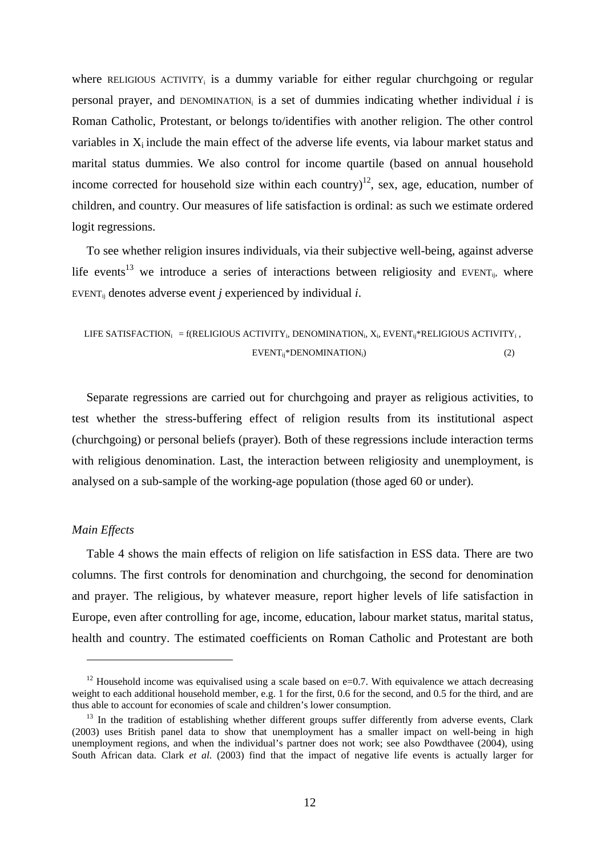where RELIGIOUS ACTIVITY<sub>i</sub> is a dummy variable for either regular churchgoing or regular personal prayer, and DENOMINATION<sub>i</sub> is a set of dummies indicating whether individual  $i$  is Roman Catholic, Protestant, or belongs to/identifies with another religion. The other control variables in  $X_i$  include the main effect of the adverse life events, via labour market status and marital status dummies. We also control for income quartile (based on annual household income corrected for household size within each country)<sup>12</sup>, sex, age, education, number of children, and country. Our measures of life satisfaction is ordinal: as such we estimate ordered logit regressions.

To see whether religion insures individuals, via their subjective well-being, against adverse life events<sup>13</sup> we introduce a series of interactions between religiosity and EVENT<sub>ij</sub>, where EVENT<sub>ii</sub> denotes adverse event *j* experienced by individual *i*.

\n LIFE SATISFACTION<sub>i</sub> = f(RELIGIOUS ACTIVITY<sub>i</sub>, DENOMINATION<sub>i</sub>, X<sub>i</sub>, 
$$
EVENT_{ij}^*RELIGIOUS ACTIVITY_i
$$
,  
\n $EVENT_{ij}^* DENOMINATION_i)$ \n

\n\n (2)\n

Separate regressions are carried out for churchgoing and prayer as religious activities, to test whether the stress-buffering effect of religion results from its institutional aspect (churchgoing) or personal beliefs (prayer). Both of these regressions include interaction terms with religious denomination. Last, the interaction between religiosity and unemployment, is analysed on a sub-sample of the working-age population (those aged 60 or under).

## *Main Effects*

 $\overline{a}$ 

Table 4 shows the main effects of religion on life satisfaction in ESS data. There are two columns. The first controls for denomination and churchgoing, the second for denomination and prayer. The religious, by whatever measure, report higher levels of life satisfaction in Europe, even after controlling for age, income, education, labour market status, marital status, health and country. The estimated coefficients on Roman Catholic and Protestant are both

<sup>&</sup>lt;sup>12</sup> Household income was equivalised using a scale based on e=0.7. With equivalence we attach decreasing weight to each additional household member, e.g. 1 for the first, 0.6 for the second, and 0.5 for the third, and are thus able to account for economies of scale and children's lower consumption.<br><sup>13</sup> In the tradition of establishing whether different groups suffer differently from adverse events, Clark

<sup>(2003)</sup> uses British panel data to show that unemployment has a smaller impact on well-being in high unemployment regions, and when the individual's partner does not work; see also Powdthavee (2004), using South African data. Clark *et al*. (2003) find that the impact of negative life events is actually larger for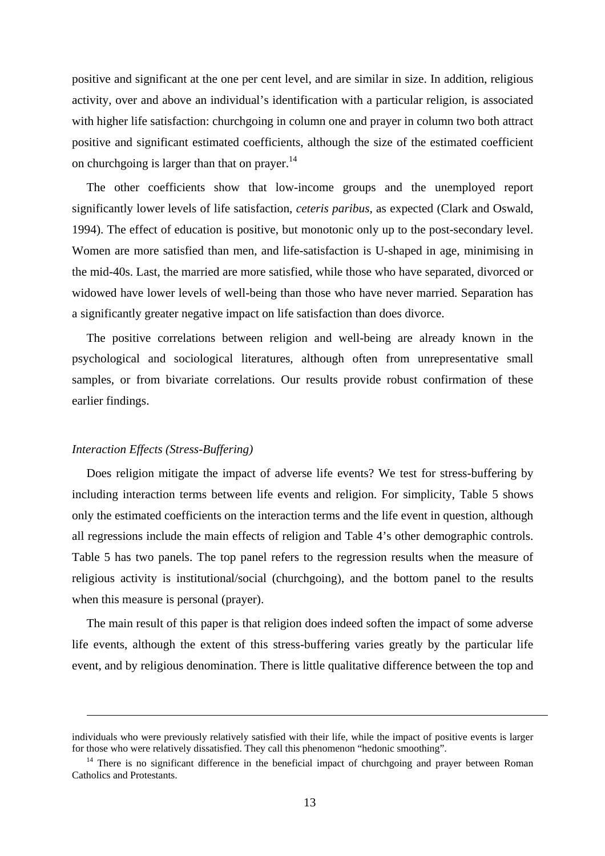positive and significant at the one per cent level, and are similar in size. In addition, religious activity, over and above an individual's identification with a particular religion, is associated with higher life satisfaction: churchgoing in column one and prayer in column two both attract positive and significant estimated coefficients, although the size of the estimated coefficient on churchgoing is larger than that on prayer.<sup>14</sup>

The other coefficients show that low-income groups and the unemployed report significantly lower levels of life satisfaction, *ceteris paribus*, as expected (Clark and Oswald, 1994). The effect of education is positive, but monotonic only up to the post-secondary level. Women are more satisfied than men, and life-satisfaction is U-shaped in age, minimising in the mid-40s. Last, the married are more satisfied, while those who have separated, divorced or widowed have lower levels of well-being than those who have never married. Separation has a significantly greater negative impact on life satisfaction than does divorce.

The positive correlations between religion and well-being are already known in the psychological and sociological literatures, although often from unrepresentative small samples, or from bivariate correlations. Our results provide robust confirmation of these earlier findings.

#### *Interaction Effects (Stress-Buffering)*

1

Does religion mitigate the impact of adverse life events? We test for stress-buffering by including interaction terms between life events and religion. For simplicity, Table 5 shows only the estimated coefficients on the interaction terms and the life event in question, although all regressions include the main effects of religion and Table 4's other demographic controls. Table 5 has two panels. The top panel refers to the regression results when the measure of religious activity is institutional/social (churchgoing), and the bottom panel to the results when this measure is personal (prayer).

The main result of this paper is that religion does indeed soften the impact of some adverse life events, although the extent of this stress-buffering varies greatly by the particular life event, and by religious denomination. There is little qualitative difference between the top and

individuals who were previously relatively satisfied with their life, while the impact of positive events is larger for those who were relatively dissatisfied. They call this phenomenon "hedonic smoothing".<br><sup>14</sup> There is no significant difference in the beneficial impact of churchgoing and prayer between Roman

Catholics and Protestants.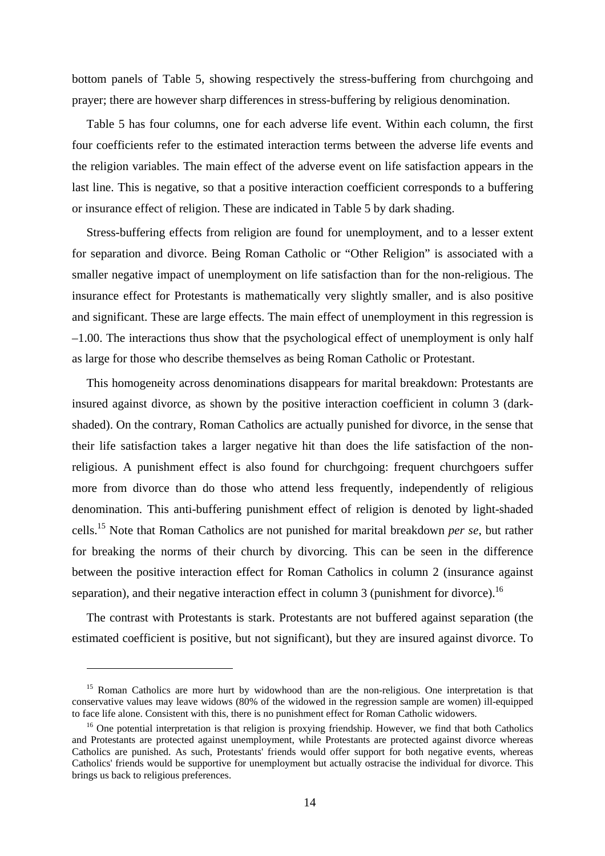bottom panels of Table 5, showing respectively the stress-buffering from churchgoing and prayer; there are however sharp differences in stress-buffering by religious denomination.

Table 5 has four columns, one for each adverse life event. Within each column, the first four coefficients refer to the estimated interaction terms between the adverse life events and the religion variables. The main effect of the adverse event on life satisfaction appears in the last line. This is negative, so that a positive interaction coefficient corresponds to a buffering or insurance effect of religion. These are indicated in Table 5 by dark shading.

Stress-buffering effects from religion are found for unemployment, and to a lesser extent for separation and divorce. Being Roman Catholic or "Other Religion" is associated with a smaller negative impact of unemployment on life satisfaction than for the non-religious. The insurance effect for Protestants is mathematically very slightly smaller, and is also positive and significant. These are large effects. The main effect of unemployment in this regression is –1.00. The interactions thus show that the psychological effect of unemployment is only half as large for those who describe themselves as being Roman Catholic or Protestant.

This homogeneity across denominations disappears for marital breakdown: Protestants are insured against divorce, as shown by the positive interaction coefficient in column 3 (darkshaded). On the contrary, Roman Catholics are actually punished for divorce, in the sense that their life satisfaction takes a larger negative hit than does the life satisfaction of the nonreligious. A punishment effect is also found for churchgoing: frequent churchgoers suffer more from divorce than do those who attend less frequently, independently of religious denomination. This anti-buffering punishment effect of religion is denoted by light-shaded cells.15 Note that Roman Catholics are not punished for marital breakdown *per se*, but rather for breaking the norms of their church by divorcing. This can be seen in the difference between the positive interaction effect for Roman Catholics in column 2 (insurance against separation), and their negative interaction effect in column 3 (punishment for divorce).<sup>16</sup>

The contrast with Protestants is stark. Protestants are not buffered against separation (the estimated coefficient is positive, but not significant), but they are insured against divorce. To

 $\overline{a}$ 

<sup>&</sup>lt;sup>15</sup> Roman Catholics are more hurt by widowhood than are the non-religious. One interpretation is that conservative values may leave widows (80% of the widowed in the regression sample are women) ill-equipped to face life alone. Consistent with this, there is no punishment effect for Roman Catholic widowers.

<sup>&</sup>lt;sup>16</sup> One potential interpretation is that religion is proxying friendship. However, we find that both Catholics and Protestants are protected against unemployment, while Protestants are protected against divorce whereas Catholics are punished. As such, Protestants' friends would offer support for both negative events, whereas Catholics' friends would be supportive for unemployment but actually ostracise the individual for divorce. This brings us back to religious preferences.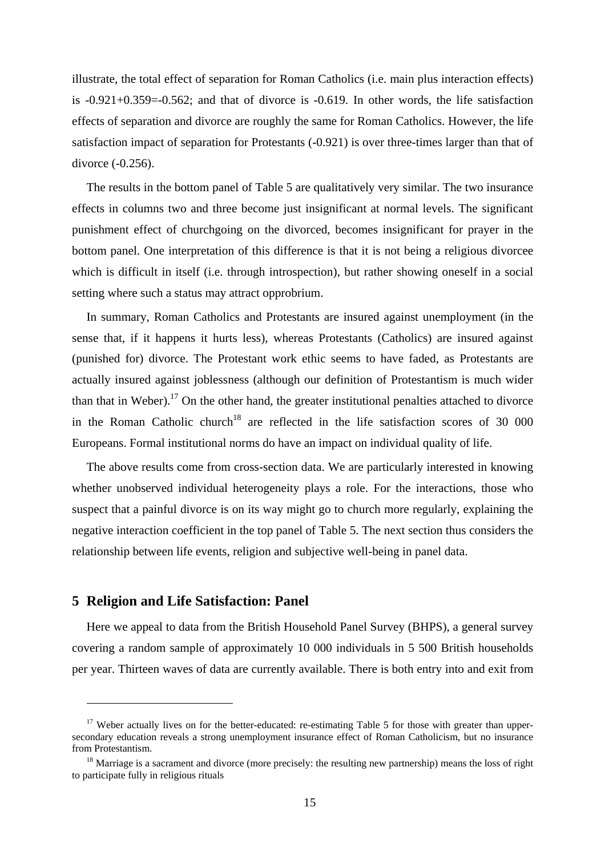illustrate, the total effect of separation for Roman Catholics (i.e. main plus interaction effects) is  $-0.921+0.359=-0.562$ ; and that of divorce is  $-0.619$ . In other words, the life satisfaction effects of separation and divorce are roughly the same for Roman Catholics. However, the life satisfaction impact of separation for Protestants (-0.921) is over three-times larger than that of divorce (-0.256).

The results in the bottom panel of Table 5 are qualitatively very similar. The two insurance effects in columns two and three become just insignificant at normal levels. The significant punishment effect of churchgoing on the divorced, becomes insignificant for prayer in the bottom panel. One interpretation of this difference is that it is not being a religious divorcee which is difficult in itself (i.e. through introspection), but rather showing oneself in a social setting where such a status may attract opprobrium.

In summary, Roman Catholics and Protestants are insured against unemployment (in the sense that, if it happens it hurts less), whereas Protestants (Catholics) are insured against (punished for) divorce. The Protestant work ethic seems to have faded, as Protestants are actually insured against joblessness (although our definition of Protestantism is much wider than that in Weber).<sup>17</sup> On the other hand, the greater institutional penalties attached to divorce in the Roman Catholic church<sup>18</sup> are reflected in the life satisfaction scores of 30 000 Europeans. Formal institutional norms do have an impact on individual quality of life.

The above results come from cross-section data. We are particularly interested in knowing whether unobserved individual heterogeneity plays a role. For the interactions, those who suspect that a painful divorce is on its way might go to church more regularly, explaining the negative interaction coefficient in the top panel of Table 5. The next section thus considers the relationship between life events, religion and subjective well-being in panel data.

# **5 Religion and Life Satisfaction: Panel**

 $\overline{a}$ 

Here we appeal to data from the British Household Panel Survey (BHPS), a general survey covering a random sample of approximately 10 000 individuals in 5 500 British households per year. Thirteen waves of data are currently available. There is both entry into and exit from

<sup>&</sup>lt;sup>17</sup> Weber actually lives on for the better-educated: re-estimating Table 5 for those with greater than uppersecondary education reveals a strong unemployment insurance effect of Roman Catholicism, but no insurance from Protestantism.

 $18$  Marriage is a sacrament and divorce (more precisely: the resulting new partnership) means the loss of right to participate fully in religious rituals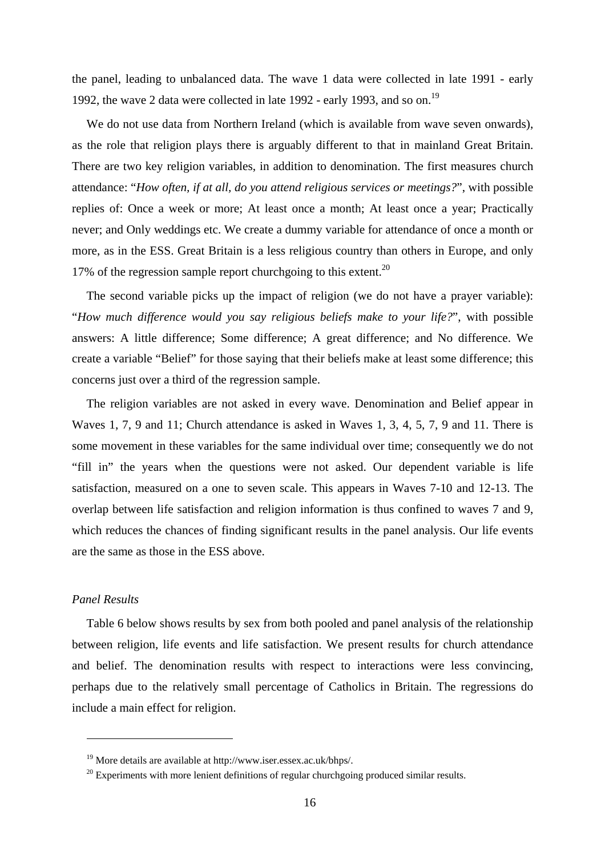the panel, leading to unbalanced data. The wave 1 data were collected in late 1991 - early 1992, the wave 2 data were collected in late 1992 - early 1993, and so on.<sup>19</sup>

We do not use data from Northern Ireland (which is available from wave seven onwards). as the role that religion plays there is arguably different to that in mainland Great Britain. There are two key religion variables, in addition to denomination. The first measures church attendance: "*How often, if at all, do you attend religious services or meetings?*", with possible replies of: Once a week or more; At least once a month; At least once a year; Practically never; and Only weddings etc. We create a dummy variable for attendance of once a month or more, as in the ESS. Great Britain is a less religious country than others in Europe, and only 17% of the regression sample report churchgoing to this extent.<sup>20</sup>

The second variable picks up the impact of religion (we do not have a prayer variable): "*How much difference would you say religious beliefs make to your life?*", with possible answers: A little difference; Some difference; A great difference; and No difference. We create a variable "Belief" for those saying that their beliefs make at least some difference; this concerns just over a third of the regression sample.

The religion variables are not asked in every wave. Denomination and Belief appear in Waves 1, 7, 9 and 11; Church attendance is asked in Waves 1, 3, 4, 5, 7, 9 and 11. There is some movement in these variables for the same individual over time; consequently we do not "fill in" the years when the questions were not asked. Our dependent variable is life satisfaction, measured on a one to seven scale. This appears in Waves 7-10 and 12-13. The overlap between life satisfaction and religion information is thus confined to waves 7 and 9, which reduces the chances of finding significant results in the panel analysis. Our life events are the same as those in the ESS above.

# *Panel Results*

 $\overline{a}$ 

Table 6 below shows results by sex from both pooled and panel analysis of the relationship between religion, life events and life satisfaction. We present results for church attendance and belief. The denomination results with respect to interactions were less convincing, perhaps due to the relatively small percentage of Catholics in Britain. The regressions do include a main effect for religion.

<sup>19</sup> More details are available at http://www.iser.essex.ac.uk/bhps/.

 $^{20}$  Experiments with more lenient definitions of regular churchgoing produced similar results.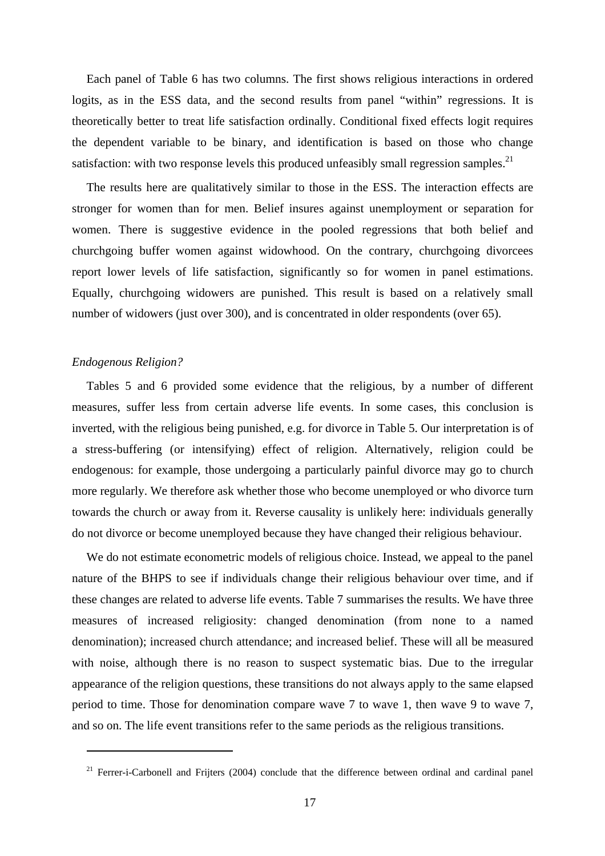Each panel of Table 6 has two columns. The first shows religious interactions in ordered logits, as in the ESS data, and the second results from panel "within" regressions. It is theoretically better to treat life satisfaction ordinally. Conditional fixed effects logit requires the dependent variable to be binary, and identification is based on those who change satisfaction: with two response levels this produced unfeasibly small regression samples.<sup>21</sup>

The results here are qualitatively similar to those in the ESS. The interaction effects are stronger for women than for men. Belief insures against unemployment or separation for women. There is suggestive evidence in the pooled regressions that both belief and churchgoing buffer women against widowhood. On the contrary, churchgoing divorcees report lower levels of life satisfaction, significantly so for women in panel estimations. Equally, churchgoing widowers are punished. This result is based on a relatively small number of widowers (just over 300), and is concentrated in older respondents (over 65).

#### *Endogenous Religion?*

 $\overline{a}$ 

Tables 5 and 6 provided some evidence that the religious, by a number of different measures, suffer less from certain adverse life events. In some cases, this conclusion is inverted, with the religious being punished, e.g. for divorce in Table 5. Our interpretation is of a stress-buffering (or intensifying) effect of religion. Alternatively, religion could be endogenous: for example, those undergoing a particularly painful divorce may go to church more regularly. We therefore ask whether those who become unemployed or who divorce turn towards the church or away from it. Reverse causality is unlikely here: individuals generally do not divorce or become unemployed because they have changed their religious behaviour.

We do not estimate econometric models of religious choice. Instead, we appeal to the panel nature of the BHPS to see if individuals change their religious behaviour over time, and if these changes are related to adverse life events. Table 7 summarises the results. We have three measures of increased religiosity: changed denomination (from none to a named denomination); increased church attendance; and increased belief. These will all be measured with noise, although there is no reason to suspect systematic bias. Due to the irregular appearance of the religion questions, these transitions do not always apply to the same elapsed period to time. Those for denomination compare wave 7 to wave 1, then wave 9 to wave 7, and so on. The life event transitions refer to the same periods as the religious transitions.

 $21$  Ferrer-i-Carbonell and Frijters (2004) conclude that the difference between ordinal and cardinal panel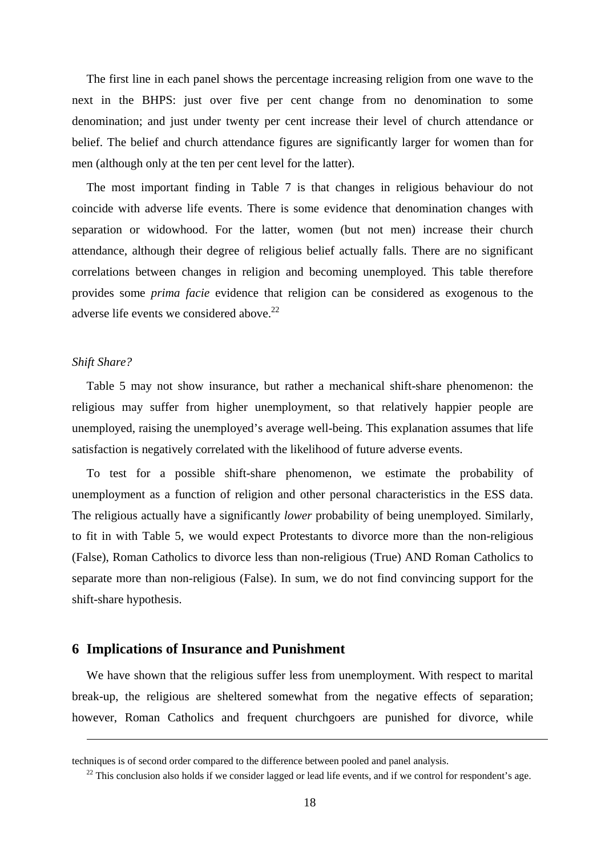The first line in each panel shows the percentage increasing religion from one wave to the next in the BHPS: just over five per cent change from no denomination to some denomination; and just under twenty per cent increase their level of church attendance or belief. The belief and church attendance figures are significantly larger for women than for men (although only at the ten per cent level for the latter).

The most important finding in Table 7 is that changes in religious behaviour do not coincide with adverse life events. There is some evidence that denomination changes with separation or widowhood. For the latter, women (but not men) increase their church attendance, although their degree of religious belief actually falls. There are no significant correlations between changes in religion and becoming unemployed. This table therefore provides some *prima facie* evidence that religion can be considered as exogenous to the adverse life events we considered above.<sup>22</sup>

### *Shift Share?*

<u>.</u>

Table 5 may not show insurance, but rather a mechanical shift-share phenomenon: the religious may suffer from higher unemployment, so that relatively happier people are unemployed, raising the unemployed's average well-being. This explanation assumes that life satisfaction is negatively correlated with the likelihood of future adverse events.

To test for a possible shift-share phenomenon, we estimate the probability of unemployment as a function of religion and other personal characteristics in the ESS data. The religious actually have a significantly *lower* probability of being unemployed. Similarly, to fit in with Table 5, we would expect Protestants to divorce more than the non-religious (False), Roman Catholics to divorce less than non-religious (True) AND Roman Catholics to separate more than non-religious (False). In sum, we do not find convincing support for the shift-share hypothesis.

## **6 Implications of Insurance and Punishment**

We have shown that the religious suffer less from unemployment. With respect to marital break-up, the religious are sheltered somewhat from the negative effects of separation; however, Roman Catholics and frequent churchgoers are punished for divorce, while

techniques is of second order compared to the difference between pooled and panel analysis.

 $^{22}$  This conclusion also holds if we consider lagged or lead life events, and if we control for respondent's age.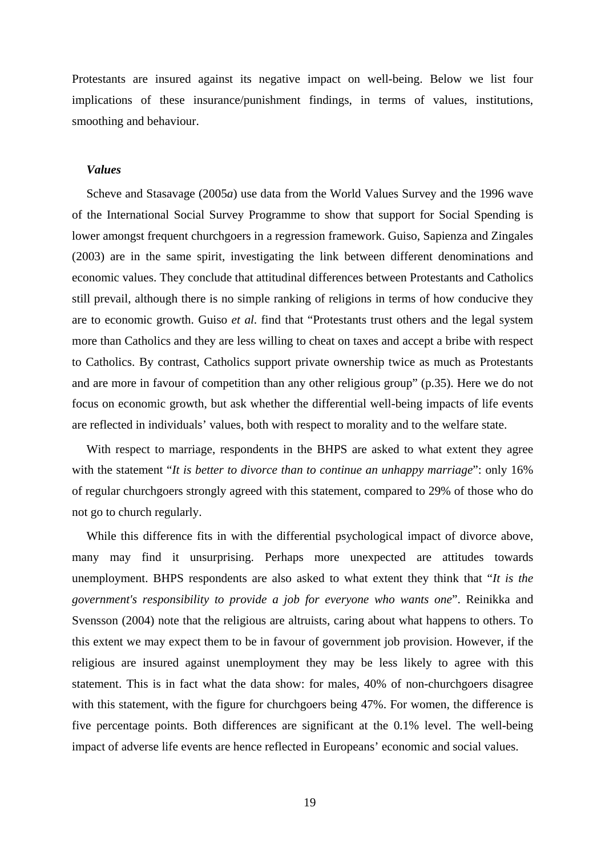Protestants are insured against its negative impact on well-being. Below we list four implications of these insurance/punishment findings, in terms of values, institutions, smoothing and behaviour.

#### *Values*

Scheve and Stasavage (2005*a*) use data from the World Values Survey and the 1996 wave of the International Social Survey Programme to show that support for Social Spending is lower amongst frequent churchgoers in a regression framework. Guiso, Sapienza and Zingales (2003) are in the same spirit, investigating the link between different denominations and economic values. They conclude that attitudinal differences between Protestants and Catholics still prevail, although there is no simple ranking of religions in terms of how conducive they are to economic growth. Guiso *et al*. find that "Protestants trust others and the legal system more than Catholics and they are less willing to cheat on taxes and accept a bribe with respect to Catholics. By contrast, Catholics support private ownership twice as much as Protestants and are more in favour of competition than any other religious group" (p.35). Here we do not focus on economic growth, but ask whether the differential well-being impacts of life events are reflected in individuals' values, both with respect to morality and to the welfare state.

With respect to marriage, respondents in the BHPS are asked to what extent they agree with the statement "*It is better to divorce than to continue an unhappy marriage*": only 16% of regular churchgoers strongly agreed with this statement, compared to 29% of those who do not go to church regularly.

While this difference fits in with the differential psychological impact of divorce above, many may find it unsurprising. Perhaps more unexpected are attitudes towards unemployment. BHPS respondents are also asked to what extent they think that "*It is the government's responsibility to provide a job for everyone who wants one*". Reinikka and Svensson (2004) note that the religious are altruists, caring about what happens to others. To this extent we may expect them to be in favour of government job provision. However, if the religious are insured against unemployment they may be less likely to agree with this statement. This is in fact what the data show: for males, 40% of non-churchgoers disagree with this statement, with the figure for churchgoers being 47%. For women, the difference is five percentage points. Both differences are significant at the 0.1% level. The well-being impact of adverse life events are hence reflected in Europeans' economic and social values.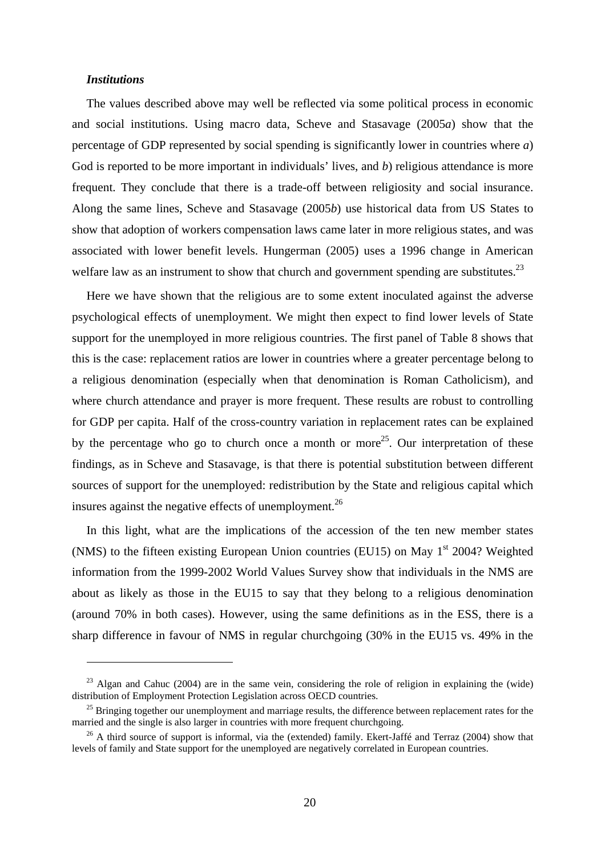## *Institutions*

 $\overline{a}$ 

The values described above may well be reflected via some political process in economic and social institutions. Using macro data, Scheve and Stasavage (2005*a*) show that the percentage of GDP represented by social spending is significantly lower in countries where *a*) God is reported to be more important in individuals' lives, and *b*) religious attendance is more frequent. They conclude that there is a trade-off between religiosity and social insurance. Along the same lines, Scheve and Stasavage (2005*b*) use historical data from US States to show that adoption of workers compensation laws came later in more religious states, and was associated with lower benefit levels. Hungerman (2005) uses a 1996 change in American welfare law as an instrument to show that church and government spending are substitutes.<sup>23</sup>

Here we have shown that the religious are to some extent inoculated against the adverse psychological effects of unemployment. We might then expect to find lower levels of State support for the unemployed in more religious countries. The first panel of Table 8 shows that this is the case: replacement ratios are lower in countries where a greater percentage belong to a religious denomination (especially when that denomination is Roman Catholicism), and where church attendance and prayer is more frequent. These results are robust to controlling for GDP per capita. Half of the cross-country variation in replacement rates can be explained by the percentage who go to church once a month or more<sup>25</sup>. Our interpretation of these findings, as in Scheve and Stasavage, is that there is potential substitution between different sources of support for the unemployed: redistribution by the State and religious capital which insures against the negative effects of unemployment.<sup>26</sup>

In this light, what are the implications of the accession of the ten new member states (NMS) to the fifteen existing European Union countries (EU15) on May  $1<sup>st</sup>$  2004? Weighted information from the 1999-2002 World Values Survey show that individuals in the NMS are about as likely as those in the EU15 to say that they belong to a religious denomination (around 70% in both cases). However, using the same definitions as in the ESS, there is a sharp difference in favour of NMS in regular churchgoing (30% in the EU15 vs. 49% in the

 $^{23}$  Algan and Cahuc (2004) are in the same vein, considering the role of religion in explaining the (wide) distribution of Employment Protection Legislation across OECD countries.

<sup>&</sup>lt;sup>25</sup> Bringing together our unemployment and marriage results, the difference between replacement rates for the married and the single is also larger in countries with more frequent churchgoing.

 $26$  A third source of support is informal, via the (extended) family. Ekert-Jaffé and Terraz (2004) show that levels of family and State support for the unemployed are negatively correlated in European countries.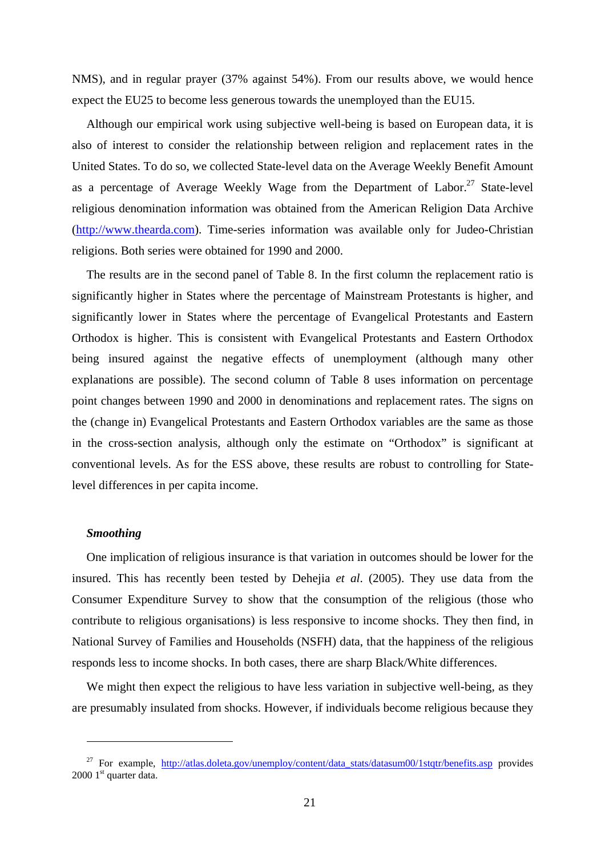NMS), and in regular prayer (37% against 54%). From our results above, we would hence expect the EU25 to become less generous towards the unemployed than the EU15.

Although our empirical work using subjective well-being is based on European data, it is also of interest to consider the relationship between religion and replacement rates in the United States. To do so, we collected State-level data on the Average Weekly Benefit Amount as a percentage of Average Weekly Wage from the Department of Labor.<sup>27</sup> State-level religious denomination information was obtained from the American Religion Data Archive (http://www.thearda.com). Time-series information was available only for Judeo-Christian religions. Both series were obtained for 1990 and 2000.

The results are in the second panel of Table 8. In the first column the replacement ratio is significantly higher in States where the percentage of Mainstream Protestants is higher, and significantly lower in States where the percentage of Evangelical Protestants and Eastern Orthodox is higher. This is consistent with Evangelical Protestants and Eastern Orthodox being insured against the negative effects of unemployment (although many other explanations are possible). The second column of Table 8 uses information on percentage point changes between 1990 and 2000 in denominations and replacement rates. The signs on the (change in) Evangelical Protestants and Eastern Orthodox variables are the same as those in the cross-section analysis, although only the estimate on "Orthodox" is significant at conventional levels. As for the ESS above, these results are robust to controlling for Statelevel differences in per capita income.

#### *Smoothing*

 $\overline{a}$ 

One implication of religious insurance is that variation in outcomes should be lower for the insured. This has recently been tested by Dehejia *et al*. (2005). They use data from the Consumer Expenditure Survey to show that the consumption of the religious (those who contribute to religious organisations) is less responsive to income shocks. They then find, in National Survey of Families and Households (NSFH) data, that the happiness of the religious responds less to income shocks. In both cases, there are sharp Black/White differences.

We might then expect the religious to have less variation in subjective well-being, as they are presumably insulated from shocks. However, if individuals become religious because they

<sup>&</sup>lt;sup>27</sup> For example, http://atlas.doleta.gov/unemploy/content/data\_stats/datasum00/1stqtr/benefits.asp provides 2000 1<sup>st</sup> quarter data.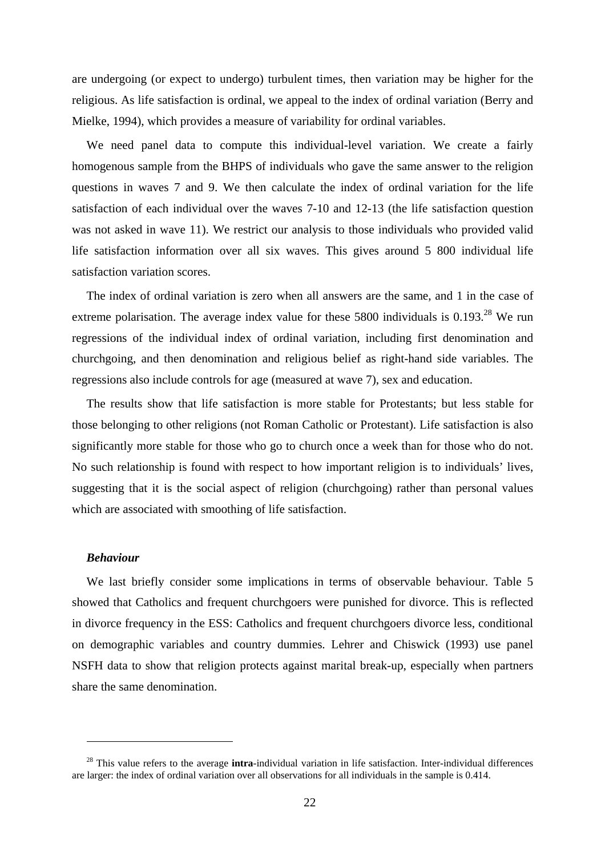are undergoing (or expect to undergo) turbulent times, then variation may be higher for the religious. As life satisfaction is ordinal, we appeal to the index of ordinal variation (Berry and Mielke, 1994), which provides a measure of variability for ordinal variables.

We need panel data to compute this individual-level variation. We create a fairly homogenous sample from the BHPS of individuals who gave the same answer to the religion questions in waves 7 and 9. We then calculate the index of ordinal variation for the life satisfaction of each individual over the waves 7-10 and 12-13 (the life satisfaction question was not asked in wave 11). We restrict our analysis to those individuals who provided valid life satisfaction information over all six waves. This gives around 5 800 individual life satisfaction variation scores.

The index of ordinal variation is zero when all answers are the same, and 1 in the case of extreme polarisation. The average index value for these 5800 individuals is  $0.193<sup>28</sup>$  We run regressions of the individual index of ordinal variation, including first denomination and churchgoing, and then denomination and religious belief as right-hand side variables. The regressions also include controls for age (measured at wave 7), sex and education.

The results show that life satisfaction is more stable for Protestants; but less stable for those belonging to other religions (not Roman Catholic or Protestant). Life satisfaction is also significantly more stable for those who go to church once a week than for those who do not. No such relationship is found with respect to how important religion is to individuals' lives, suggesting that it is the social aspect of religion (churchgoing) rather than personal values which are associated with smoothing of life satisfaction.

### *Behaviour*

 $\overline{a}$ 

We last briefly consider some implications in terms of observable behaviour. Table 5 showed that Catholics and frequent churchgoers were punished for divorce. This is reflected in divorce frequency in the ESS: Catholics and frequent churchgoers divorce less, conditional on demographic variables and country dummies. Lehrer and Chiswick (1993) use panel NSFH data to show that religion protects against marital break-up, especially when partners share the same denomination.

<sup>28</sup> This value refers to the average **intra**-individual variation in life satisfaction. Inter-individual differences are larger: the index of ordinal variation over all observations for all individuals in the sample is 0.414.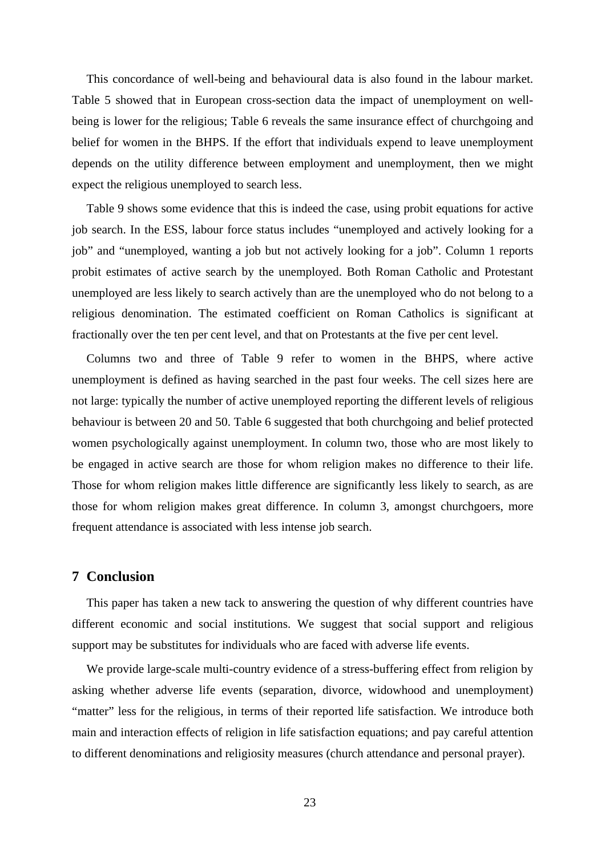This concordance of well-being and behavioural data is also found in the labour market. Table 5 showed that in European cross-section data the impact of unemployment on wellbeing is lower for the religious; Table 6 reveals the same insurance effect of churchgoing and belief for women in the BHPS. If the effort that individuals expend to leave unemployment depends on the utility difference between employment and unemployment, then we might expect the religious unemployed to search less.

Table 9 shows some evidence that this is indeed the case, using probit equations for active job search. In the ESS, labour force status includes "unemployed and actively looking for a job" and "unemployed, wanting a job but not actively looking for a job". Column 1 reports probit estimates of active search by the unemployed. Both Roman Catholic and Protestant unemployed are less likely to search actively than are the unemployed who do not belong to a religious denomination. The estimated coefficient on Roman Catholics is significant at fractionally over the ten per cent level, and that on Protestants at the five per cent level.

Columns two and three of Table 9 refer to women in the BHPS, where active unemployment is defined as having searched in the past four weeks. The cell sizes here are not large: typically the number of active unemployed reporting the different levels of religious behaviour is between 20 and 50. Table 6 suggested that both churchgoing and belief protected women psychologically against unemployment. In column two, those who are most likely to be engaged in active search are those for whom religion makes no difference to their life. Those for whom religion makes little difference are significantly less likely to search, as are those for whom religion makes great difference. In column 3, amongst churchgoers, more frequent attendance is associated with less intense job search.

# **7 Conclusion**

This paper has taken a new tack to answering the question of why different countries have different economic and social institutions. We suggest that social support and religious support may be substitutes for individuals who are faced with adverse life events.

We provide large-scale multi-country evidence of a stress-buffering effect from religion by asking whether adverse life events (separation, divorce, widowhood and unemployment) "matter" less for the religious, in terms of their reported life satisfaction. We introduce both main and interaction effects of religion in life satisfaction equations; and pay careful attention to different denominations and religiosity measures (church attendance and personal prayer).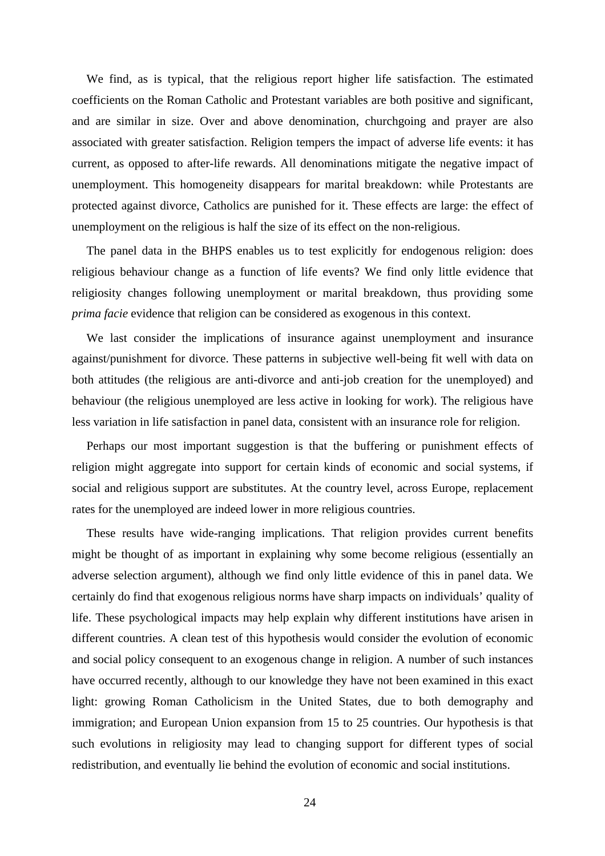We find, as is typical, that the religious report higher life satisfaction. The estimated coefficients on the Roman Catholic and Protestant variables are both positive and significant, and are similar in size. Over and above denomination, churchgoing and prayer are also associated with greater satisfaction. Religion tempers the impact of adverse life events: it has current, as opposed to after-life rewards. All denominations mitigate the negative impact of unemployment. This homogeneity disappears for marital breakdown: while Protestants are protected against divorce, Catholics are punished for it. These effects are large: the effect of unemployment on the religious is half the size of its effect on the non-religious.

The panel data in the BHPS enables us to test explicitly for endogenous religion: does religious behaviour change as a function of life events? We find only little evidence that religiosity changes following unemployment or marital breakdown, thus providing some *prima facie* evidence that religion can be considered as exogenous in this context.

We last consider the implications of insurance against unemployment and insurance against/punishment for divorce. These patterns in subjective well-being fit well with data on both attitudes (the religious are anti-divorce and anti-job creation for the unemployed) and behaviour (the religious unemployed are less active in looking for work). The religious have less variation in life satisfaction in panel data, consistent with an insurance role for religion.

Perhaps our most important suggestion is that the buffering or punishment effects of religion might aggregate into support for certain kinds of economic and social systems, if social and religious support are substitutes. At the country level, across Europe, replacement rates for the unemployed are indeed lower in more religious countries.

These results have wide-ranging implications. That religion provides current benefits might be thought of as important in explaining why some become religious (essentially an adverse selection argument), although we find only little evidence of this in panel data. We certainly do find that exogenous religious norms have sharp impacts on individuals' quality of life. These psychological impacts may help explain why different institutions have arisen in different countries. A clean test of this hypothesis would consider the evolution of economic and social policy consequent to an exogenous change in religion. A number of such instances have occurred recently, although to our knowledge they have not been examined in this exact light: growing Roman Catholicism in the United States, due to both demography and immigration; and European Union expansion from 15 to 25 countries. Our hypothesis is that such evolutions in religiosity may lead to changing support for different types of social redistribution, and eventually lie behind the evolution of economic and social institutions.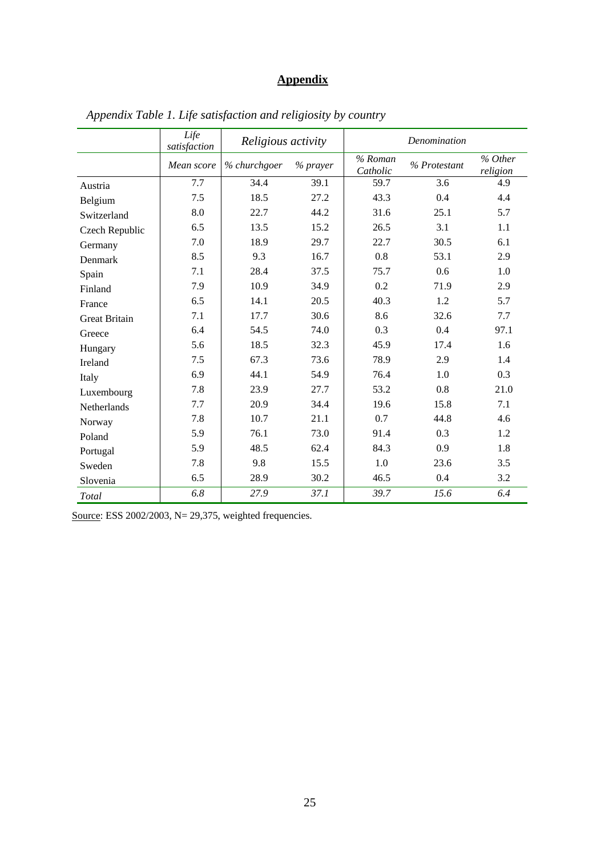# **Appendix**

|                      | Life<br>satisfaction | Religious activity |          | Denomination        |              |                     |
|----------------------|----------------------|--------------------|----------|---------------------|--------------|---------------------|
|                      | Mean score           | % churchgoer       | % prayer | % Roman<br>Catholic | % Protestant | % Other<br>religion |
| Austria              | 7.7                  | 34.4               | 39.1     | 59.7                | 3.6          | 4.9                 |
| Belgium              | 7.5                  | 18.5               | 27.2     | 43.3                | 0.4          | 4.4                 |
| Switzerland          | 8.0                  | 22.7               | 44.2     | 31.6                | 25.1         | 5.7                 |
| Czech Republic       | 6.5                  | 13.5               | 15.2     | 26.5                | 3.1          | 1.1                 |
| Germany              | 7.0                  | 18.9               | 29.7     | 22.7                | 30.5         | 6.1                 |
| Denmark              | 8.5                  | 9.3                | 16.7     | 0.8                 | 53.1         | 2.9                 |
| Spain                | 7.1                  | 28.4               | 37.5     | 75.7                | 0.6          | 1.0                 |
| Finland              | 7.9                  | 10.9               | 34.9     | 0.2                 | 71.9         | 2.9                 |
| France               | 6.5                  | 14.1               | 20.5     | 40.3                | 1.2          | 5.7                 |
| <b>Great Britain</b> | 7.1                  | 17.7               | 30.6     | 8.6                 | 32.6         | 7.7                 |
| Greece               | 6.4                  | 54.5               | 74.0     | 0.3                 | 0.4          | 97.1                |
| Hungary              | 5.6                  | 18.5               | 32.3     | 45.9                | 17.4         | 1.6                 |
| Ireland              | 7.5                  | 67.3               | 73.6     | 78.9                | 2.9          | 1.4                 |
| Italy                | 6.9                  | 44.1               | 54.9     | 76.4                | 1.0          | 0.3                 |
| Luxembourg           | 7.8                  | 23.9               | 27.7     | 53.2                | 0.8          | 21.0                |
| Netherlands          | 7.7                  | 20.9               | 34.4     | 19.6                | 15.8         | 7.1                 |
| Norway               | 7.8                  | 10.7               | 21.1     | 0.7                 | 44.8         | 4.6                 |
| Poland               | 5.9                  | 76.1               | 73.0     | 91.4                | 0.3          | 1.2                 |
| Portugal             | 5.9                  | 48.5               | 62.4     | 84.3                | 0.9          | 1.8                 |
| Sweden               | 7.8                  | 9.8                | 15.5     | 1.0                 | 23.6         | 3.5                 |
| Slovenia             | 6.5                  | 28.9               | 30.2     | 46.5                | 0.4          | 3.2                 |
| <b>Total</b>         | 6.8                  | 27.9               | 37.1     | 39.7                | 15.6         | 6.4                 |

*Appendix Table 1. Life satisfaction and religiosity by country* 

Source: ESS 2002/2003, N= 29,375, weighted frequencies.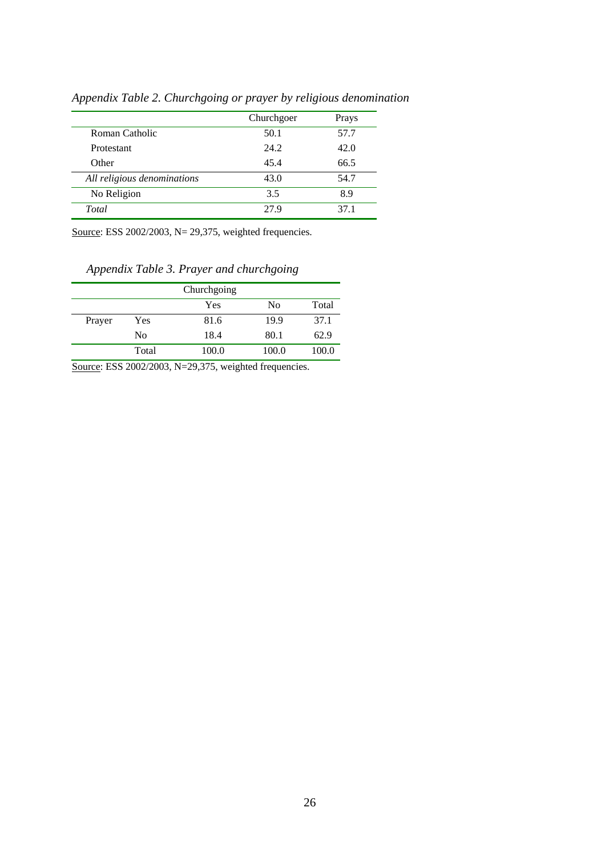|                             | Churchgoer | Prays |
|-----------------------------|------------|-------|
| Roman Catholic              | 50.1       | 57.7  |
| Protestant                  | 24.2       | 42.0  |
| Other                       | 45.4       | 66.5  |
| All religious denominations | 43.0       | 54.7  |
| No Religion                 | 3.5        | 8.9   |
| Total                       | 27.9       | 37.1  |

*Appendix Table 2. Churchgoing or prayer by religious denomination* 

Source: ESS 2002/2003, N= 29,375, weighted frequencies.

*Appendix Table 3. Prayer and churchgoing* 

|        |                | Churchgoing |       |       |
|--------|----------------|-------------|-------|-------|
|        |                | Yes         | No    | Total |
| Prayer | Yes            | 81.6        | 19.9  | 37.1  |
|        | N <sub>0</sub> | 18.4        | 80.1  | 62.9  |
|        | Total          | 100.0       | 100.0 | 100.0 |

Source: ESS 2002/2003, N=29,375, weighted frequencies.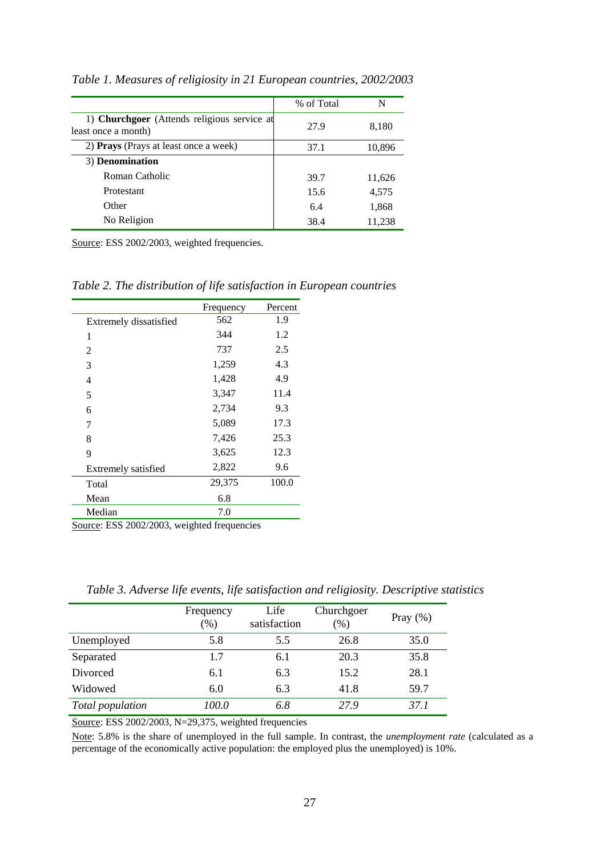|                                                                    | % of Total | N      |
|--------------------------------------------------------------------|------------|--------|
| 1) Churchgoer (Attends religious service at<br>least once a month) | 27.9       | 8,180  |
| 2) Prays (Prays at least once a week)                              | 37.1       | 10,896 |
| 3) Denomination                                                    |            |        |
| Roman Catholic                                                     | 39.7       | 11,626 |
| Protestant                                                         | 15.6       | 4,575  |
| Other                                                              | 6.4        | 1,868  |
| No Religion                                                        | 38.4       | 11,238 |

*Table 1. Measures of religiosity in 21 European countries, 2002/2003* 

Source: ESS 2002/2003, weighted frequencies.

*Table 2. The distribution of life satisfaction in European countries* 

|                        | Frequency | Percent |
|------------------------|-----------|---------|
| Extremely dissatisfied | 562       | 1.9     |
| 1                      | 344       | 1.2     |
| 2                      | 737       | 2.5     |
| 3                      | 1,259     | 4.3     |
| 4                      | 1,428     | 4.9     |
| 5                      | 3,347     | 11.4    |
| 6                      | 2,734     | 9.3     |
| 7                      | 5,089     | 17.3    |
| 8                      | 7,426     | 25.3    |
| 9                      | 3,625     | 12.3    |
| Extremely satisfied    | 2,822     | 9.6     |
| Total                  | 29,375    | 100.0   |
| Mean                   | 6.8       |         |
| Median                 | 7.0       |         |

Source: ESS 2002/2003, weighted frequencies

|                  | Frequency<br>$(\%)$ | Life<br>satisfaction | Churchgoer<br>$(\%)$ | Pray $(\% )$ |
|------------------|---------------------|----------------------|----------------------|--------------|
| Unemployed       | 5.8                 | 5.5                  | 26.8                 | 35.0         |
| Separated        | 1.7                 | 6.1                  | 20.3                 | 35.8         |
| Divorced         | 6.1                 | 6.3                  | 15.2                 | 28.1         |
| Widowed          | 6.0                 | 6.3                  | 41.8                 | 59.7         |
| Total population | 100.0               | 6.8                  | 27.9                 | 37.1         |

*Table 3. Adverse life events, life satisfaction and religiosity. Descriptive statistics* 

Source: ESS 2002/2003, N=29,375, weighted frequencies

Note: 5.8% is the share of unemployed in the full sample. In contrast, the *unemployment rate* (calculated as a percentage of the economically active population: the employed plus the unemployed) is 10%.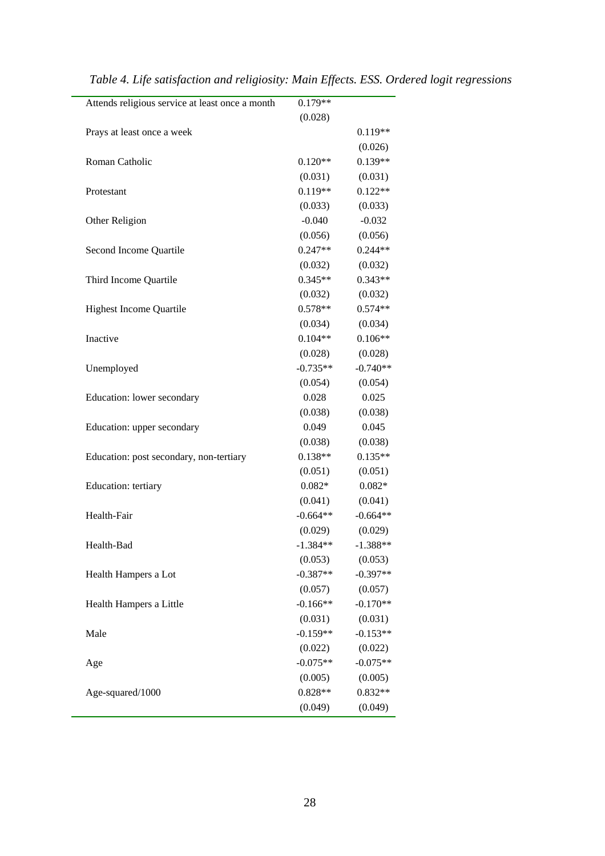| Attends religious service at least once a month | $0.179**$  |            |
|-------------------------------------------------|------------|------------|
|                                                 | (0.028)    |            |
| Prays at least once a week                      |            | $0.119**$  |
|                                                 |            | (0.026)    |
| Roman Catholic                                  | $0.120**$  | $0.139**$  |
|                                                 | (0.031)    | (0.031)    |
| Protestant                                      | $0.119**$  | $0.122**$  |
|                                                 | (0.033)    | (0.033)    |
| Other Religion                                  | $-0.040$   | $-0.032$   |
|                                                 | (0.056)    | (0.056)    |
| Second Income Quartile                          | $0.247**$  | $0.244**$  |
|                                                 | (0.032)    | (0.032)    |
| Third Income Quartile                           | $0.345**$  | $0.343**$  |
|                                                 | (0.032)    | (0.032)    |
| <b>Highest Income Quartile</b>                  | $0.578**$  | $0.574**$  |
|                                                 | (0.034)    | (0.034)    |
| Inactive                                        | $0.104**$  | $0.106**$  |
|                                                 | (0.028)    | (0.028)    |
| Unemployed                                      | $-0.735**$ | $-0.740**$ |
|                                                 | (0.054)    | (0.054)    |
| Education: lower secondary                      | 0.028      | 0.025      |
|                                                 | (0.038)    | (0.038)    |
| Education: upper secondary                      | 0.049      | 0.045      |
|                                                 | (0.038)    | (0.038)    |
| Education: post secondary, non-tertiary         | $0.138**$  | $0.135**$  |
|                                                 | (0.051)    | (0.051)    |
| Education: tertiary                             | $0.082*$   | $0.082*$   |
|                                                 | (0.041)    | (0.041)    |
| Health-Fair                                     | $-0.664**$ | $-0.664**$ |
|                                                 | (0.029)    | (0.029)    |
| Health-Bad                                      | $-1.384**$ | $-1.388**$ |
|                                                 | (0.053)    | (0.053)    |
| Health Hampers a Lot                            | $-0.387**$ | $-0.397**$ |
|                                                 | (0.057)    | (0.057)    |
| Health Hampers a Little                         | $-0.166**$ | $-0.170**$ |
|                                                 | (0.031)    | (0.031)    |
| Male                                            | $-0.159**$ | $-0.153**$ |
|                                                 | (0.022)    | (0.022)    |
| Age                                             | $-0.075**$ | $-0.075**$ |
|                                                 | (0.005)    | (0.005)    |
| Age-squared/1000                                | $0.828**$  | $0.832**$  |
|                                                 | (0.049)    | (0.049)    |
|                                                 |            |            |

*Table 4. Life satisfaction and religiosity: Main Effects. ESS. Ordered logit regressions*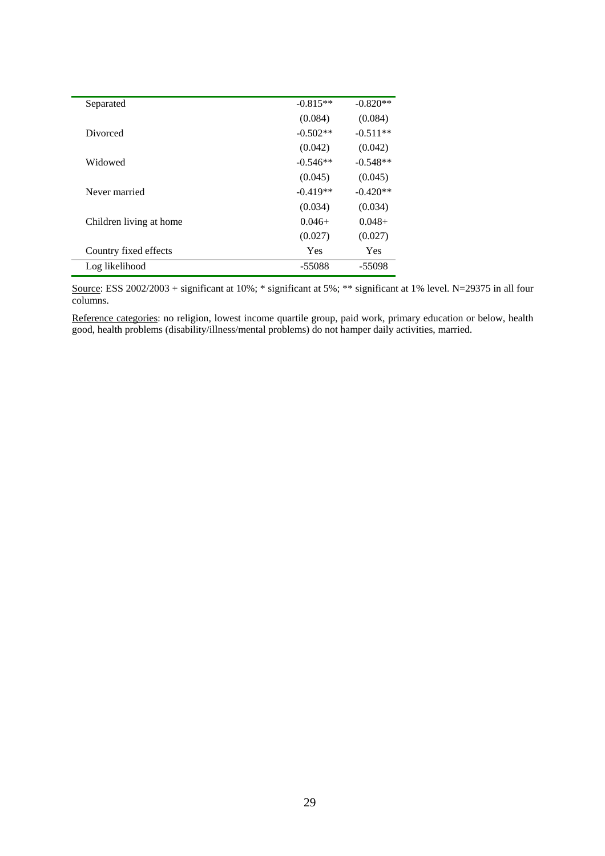| Separated               | $-0.815**$ | $-0.820**$ |
|-------------------------|------------|------------|
|                         | (0.084)    | (0.084)    |
| Divorced                | $-0.502**$ | $-0.511**$ |
|                         | (0.042)    | (0.042)    |
| Widowed                 | $-0.546**$ | $-0.548**$ |
|                         | (0.045)    | (0.045)    |
| Never married           | $-0.419**$ | $-0.420**$ |
|                         | (0.034)    | (0.034)    |
| Children living at home | $0.046+$   | $0.048 +$  |
|                         | (0.027)    | (0.027)    |
| Country fixed effects   | Yes        | Yes        |
| Log likelihood          | $-55088$   | $-55098$   |

Source: ESS 2002/2003 + significant at 10%; \* significant at 5%; \*\* significant at 1% level. N=29375 in all four columns.

Reference categories: no religion, lowest income quartile group, paid work, primary education or below, health good, health problems (disability/illness/mental problems) do not hamper daily activities, married.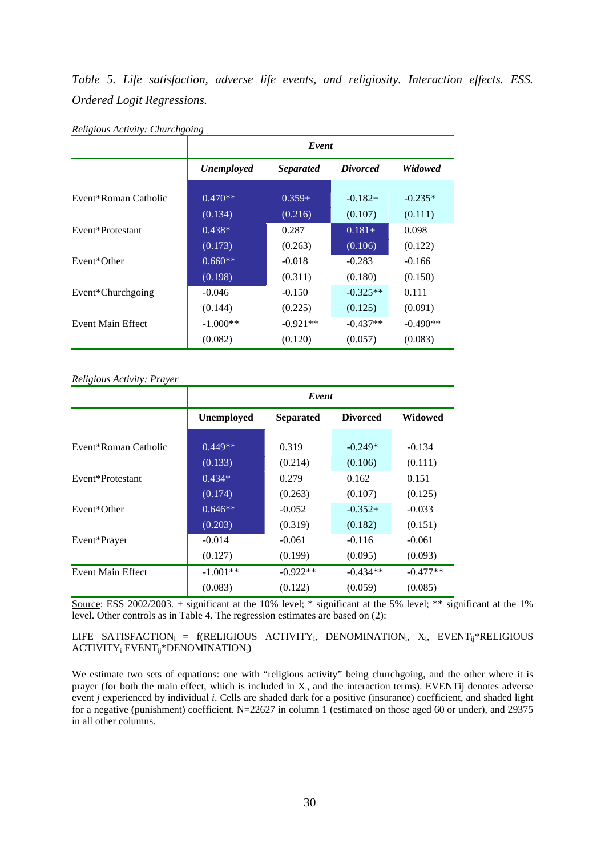*Table 5. Life satisfaction, adverse life events, and religiosity. Interaction effects. ESS. Ordered Logit Regressions.* 

|                      | Event             |                  |                 |                |  |
|----------------------|-------------------|------------------|-----------------|----------------|--|
|                      | <b>Unemployed</b> | <i>Separated</i> | <i>Divorced</i> | <b>Widowed</b> |  |
| Event*Roman Catholic | $0.470**$         | $0.359+$         | $-0.182+$       | $-0.235*$      |  |
|                      | (0.134)           | (0.216)          | (0.107)         | (0.111)        |  |
| Event*Protestant     | $0.438*$          | 0.287            | $0.181+$        | 0.098          |  |
|                      | (0.173)           | (0.263)          | (0.106)         | (0.122)        |  |
| Event*Other          | $0.660**$         | $-0.018$         | $-0.283$        | $-0.166$       |  |
|                      | (0.198)           | (0.311)          | (0.180)         | (0.150)        |  |
| Event*Churchgoing    | $-0.046$          | $-0.150$         | $-0.325**$      | 0.111          |  |
|                      | (0.144)           | (0.225)          | (0.125)         | (0.091)        |  |
| Event Main Effect    | $-1.000**$        | $-0.921**$       | $-0.437**$      | $-0.490**$     |  |
|                      | (0.082)           | (0.120)          | (0.057)         | (0.083)        |  |

*Religious Activity: Churchgoing*

#### *Religious Activity: Prayer*

|                      | Event      |                  |                 |            |  |
|----------------------|------------|------------------|-----------------|------------|--|
|                      | Unemployed | <b>Separated</b> | <b>Divorced</b> | Widowed    |  |
| Event*Roman Catholic | $0.449**$  | 0.319            | $-0.249*$       | $-0.134$   |  |
|                      | (0.133)    | (0.214)          | (0.106)         | (0.111)    |  |
| Event*Protestant     | $0.434*$   | 0.279            | 0.162           | 0.151      |  |
|                      | (0.174)    | (0.263)          | (0.107)         | (0.125)    |  |
| Event*Other          | $0.646**$  | $-0.052$         | $-0.352+$       | $-0.033$   |  |
|                      | (0.203)    | (0.319)          | (0.182)         | (0.151)    |  |
| Event*Prayer         | $-0.014$   | $-0.061$         | $-0.116$        | $-0.061$   |  |
|                      | (0.127)    | (0.199)          | (0.095)         | (0.093)    |  |
| Event Main Effect    | $-1.001**$ | $-0.922**$       | $-0.434**$      | $-0.477**$ |  |
|                      | (0.083)    | (0.122)          | (0.059)         | (0.085)    |  |

Source: ESS 2002/2003. **+** significant at the 10% level; \* significant at the 5% level; \*\* significant at the 1% level. Other controls as in Table 4. The regression estimates are based on (2):

LIFE SATISFACTION<sub>i</sub> = f(RELIGIOUS ACTIVITY<sub>i</sub>, DENOMINATION<sub>i</sub>, X<sub>i</sub>, EVENT<sub>ii</sub>\*RELIGIOUS  $ACTIVITY<sub>i</sub> <sup>*</sup>DENOMINATION<sub>i</sub>)$ 

We estimate two sets of equations: one with "religious activity" being churchgoing, and the other where it is prayer (for both the main effect, which is included in  $X_i$ , and the interaction terms). EVENTij denotes adverse event *j* experienced by individual *i*. Cells are shaded dark for a positive (insurance) coefficient, and shaded light for a negative (punishment) coefficient. N=22627 in column 1 (estimated on those aged 60 or under), and 29375 in all other columns.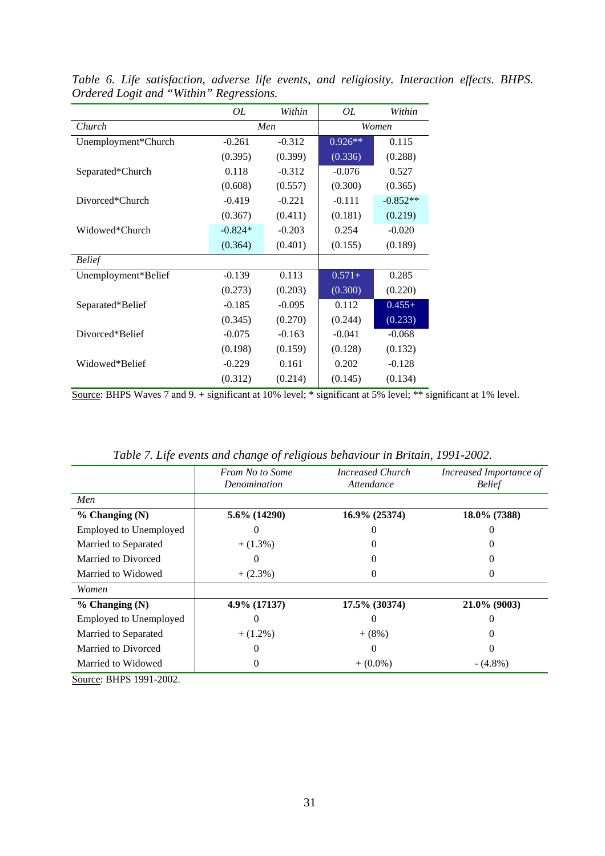|                     | OL        | Within   | OL        | Within     |  |
|---------------------|-----------|----------|-----------|------------|--|
| Church              |           | Men      |           | Women      |  |
| Unemployment*Church | $-0.261$  | $-0.312$ | $0.926**$ | 0.115      |  |
|                     | (0.395)   | (0.399)  | (0.336)   | (0.288)    |  |
| Separated*Church    | 0.118     | $-0.312$ | $-0.076$  | 0.527      |  |
|                     | (0.608)   | (0.557)  | (0.300)   | (0.365)    |  |
| Divorced*Church     | $-0.419$  | $-0.221$ | $-0.111$  | $-0.852**$ |  |
|                     | (0.367)   | (0.411)  | (0.181)   | (0.219)    |  |
| Widowed*Church      | $-0.824*$ | $-0.203$ | 0.254     | $-0.020$   |  |
|                     | (0.364)   | (0.401)  | (0.155)   | (0.189)    |  |
| <b>Belief</b>       |           |          |           |            |  |
| Unemployment*Belief | $-0.139$  | 0.113    | $0.571+$  | 0.285      |  |
|                     | (0.273)   | (0.203)  | (0.300)   | (0.220)    |  |
| Separated*Belief    | $-0.185$  | $-0.095$ | 0.112     | $0.455+$   |  |
|                     | (0.345)   | (0.270)  | (0.244)   | (0.233)    |  |
| Divorced*Belief     | $-0.075$  | $-0.163$ | $-0.041$  | $-0.068$   |  |
|                     | (0.198)   | (0.159)  | (0.128)   | (0.132)    |  |
| Widowed*Belief      | $-0.229$  | 0.161    | 0.202     | $-0.128$   |  |
|                     | (0.312)   | (0.214)  | (0.145)   | (0.134)    |  |

*Table 6. Life satisfaction, adverse life events, and religiosity. Interaction effects. BHPS. Ordered Logit and "Within" Regressions.*  ä,

Source: BHPS Waves 7 and 9. **+** significant at 10% level; \* significant at 5% level; \*\* significant at 1% level.

|                                              | <b>From No to Some</b><br>Denomination | Increased Church<br>Attendance | Increased Importance of<br><b>Belief</b> |
|----------------------------------------------|----------------------------------------|--------------------------------|------------------------------------------|
| Men                                          |                                        |                                |                                          |
| $%$ Changing (N)                             | 5.6% (14290)                           | 16.9% (25374)                  | 18.0% (7388)                             |
| <b>Employed to Unemployed</b>                |                                        |                                |                                          |
| Married to Separated                         | $+(1.3\%)$                             |                                |                                          |
| Married to Divorced                          |                                        |                                |                                          |
| Married to Widowed                           | $+(2.3\%)$                             | $\Omega$                       |                                          |
| Women                                        |                                        |                                |                                          |
| $%$ Changing (N)                             | 4.9% (17137)                           | 17.5% (30374)                  | $21.0\%$ (9003)                          |
| <b>Employed to Unemployed</b>                |                                        | $_{0}$                         |                                          |
| Married to Separated                         | $+ (1.2\%)$                            | $+ (8\%)$                      |                                          |
| Married to Divorced                          |                                        | $\mathbf{0}$                   |                                          |
| Married to Widowed<br><b>DIIDO 1001 0000</b> |                                        | $+ (0.0\%)$                    | $-(4.8\%)$                               |

*Table 7. Life events and change of religious behaviour in Britain, 1991-2002.*

Source: BHPS 1991-2002.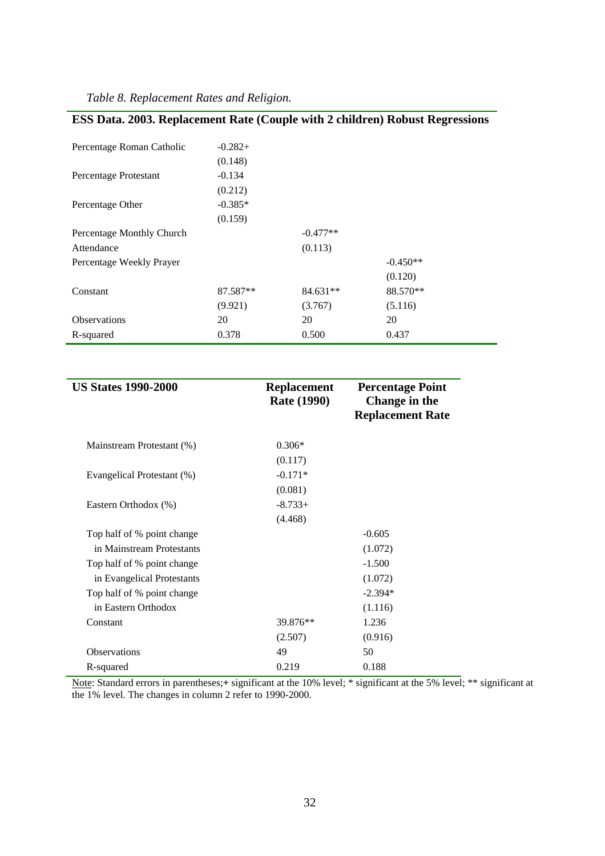| Table 8. Replacement Rates and Religion. |  |
|------------------------------------------|--|
|------------------------------------------|--|

|  |  |  | ESS Data. 2003. Replacement Rate (Couple with 2 children) Robust Regressions |
|--|--|--|------------------------------------------------------------------------------|
|  |  |  |                                                                              |

| Percentage Roman Catholic | $-0.282+$ |            |            |
|---------------------------|-----------|------------|------------|
|                           | (0.148)   |            |            |
| Percentage Protestant     | $-0.134$  |            |            |
|                           | (0.212)   |            |            |
| Percentage Other          | $-0.385*$ |            |            |
|                           | (0.159)   |            |            |
| Percentage Monthly Church |           | $-0.477**$ |            |
| Attendance                |           | (0.113)    |            |
| Percentage Weekly Prayer  |           |            | $-0.450**$ |
|                           |           |            | (0.120)    |
| Constant                  | 87.587**  | 84.631**   | 88.570**   |
|                           | (9.921)   | (3.767)    | (5.116)    |
| <b>Observations</b>       | 20        | 20         | 20         |
| R-squared                 | 0.378     | 0.500      | 0.437      |

| <b>US States 1990-2000</b> | <b>Replacement</b><br><b>Rate (1990)</b> | <b>Percentage Point</b><br>Change in the<br><b>Replacement Rate</b> |
|----------------------------|------------------------------------------|---------------------------------------------------------------------|
| Mainstream Protestant (%)  | $0.306*$                                 |                                                                     |
|                            | (0.117)                                  |                                                                     |
| Evangelical Protestant (%) | $-0.171*$                                |                                                                     |
|                            | (0.081)                                  |                                                                     |
| Eastern Orthodox (%)       | $-8.733+$                                |                                                                     |
|                            | (4.468)                                  |                                                                     |
| Top half of % point change |                                          | $-0.605$                                                            |
| in Mainstream Protestants  |                                          | (1.072)                                                             |
| Top half of % point change |                                          | $-1.500$                                                            |
| in Evangelical Protestants |                                          | (1.072)                                                             |
| Top half of % point change |                                          | $-2.394*$                                                           |
| in Eastern Orthodox        |                                          | (1.116)                                                             |
| Constant                   | 39.876**                                 | 1.236                                                               |
|                            | (2.507)                                  | (0.916)                                                             |
| <b>Observations</b>        | 49                                       | 50                                                                  |
| R-squared                  | 0.219                                    | 0.188                                                               |

Note: Standard errors in parentheses;**+** significant at the 10% level; \* significant at the 5% level; \*\* significant at the 1% level. The changes in column 2 refer to 1990-2000.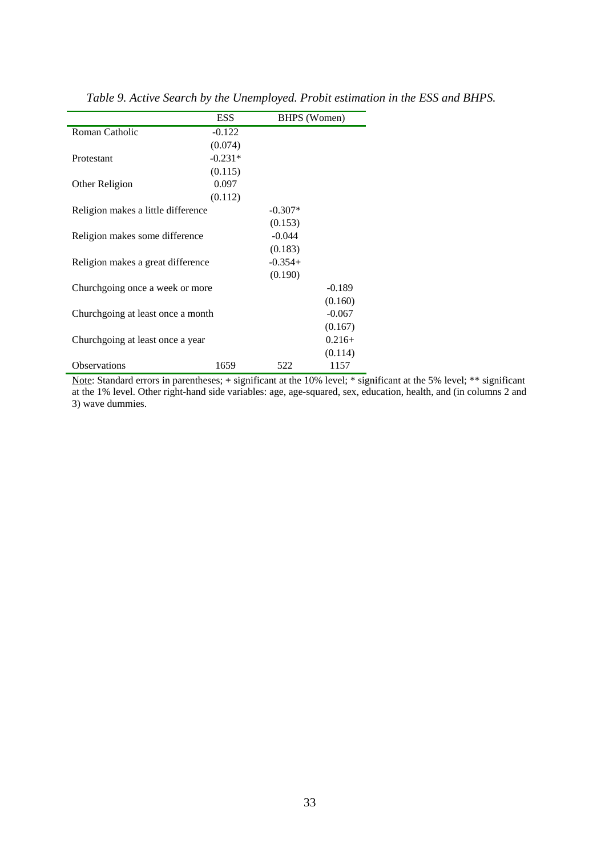|                                    | <b>ESS</b> | BHPS (Women) |          |
|------------------------------------|------------|--------------|----------|
| Roman Catholic                     | $-0.122$   |              |          |
|                                    | (0.074)    |              |          |
| Protestant                         | $-0.231*$  |              |          |
|                                    | (0.115)    |              |          |
| Other Religion                     | 0.097      |              |          |
|                                    | (0.112)    |              |          |
| Religion makes a little difference |            | $-0.307*$    |          |
|                                    |            | (0.153)      |          |
| Religion makes some difference     |            | $-0.044$     |          |
|                                    |            | (0.183)      |          |
| Religion makes a great difference  |            | $-0.354+$    |          |
|                                    |            | (0.190)      |          |
| Churchgoing once a week or more    |            |              | $-0.189$ |
|                                    |            |              | (0.160)  |
| Churchgoing at least once a month  |            |              | $-0.067$ |
|                                    |            |              | (0.167)  |
| Churchgoing at least once a year   |            |              | $0.216+$ |
|                                    |            |              | (0.114)  |
| <b>Observations</b>                | 1659       | 522          | 1157     |

*Table 9. Active Search by the Unemployed. Probit estimation in the ESS and BHPS.* 

Note: Standard errors in parentheses; **+** significant at the 10% level; \* significant at the 5% level; \*\* significant at the 1% level. Other right-hand side variables: age, age-squared, sex, education, health, and (in columns 2 and 3) wave dummies.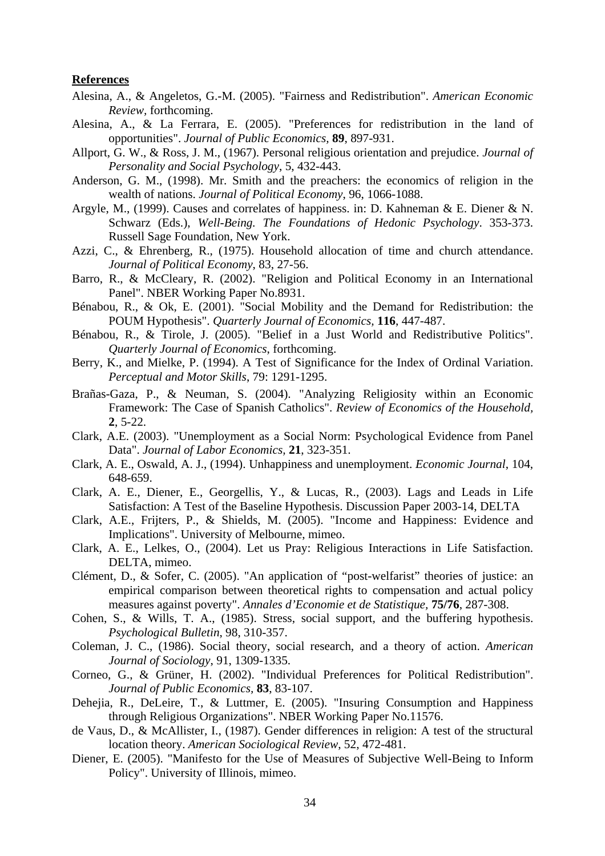#### **References**

- Alesina, A., & Angeletos, G.-M. (2005). "Fairness and Redistribution". *American Economic Review,* forthcoming.
- Alesina, A., & La Ferrara, E. (2005). "Preferences for redistribution in the land of opportunities". *Journal of Public Economics,* **89**, 897-931.
- Allport, G. W., & Ross, J. M., (1967). Personal religious orientation and prejudice. *Journal of Personality and Social Psychology*, 5, 432-443.
- Anderson, G. M., (1998). Mr. Smith and the preachers: the economics of religion in the wealth of nations. *Journal of Political Economy*, 96, 1066-1088.
- Argyle, M., (1999). Causes and correlates of happiness. in: D. Kahneman & E. Diener & N. Schwarz (Eds.), *Well-Being. The Foundations of Hedonic Psychology*. 353-373. Russell Sage Foundation, New York.
- Azzi, C., & Ehrenberg, R., (1975). Household allocation of time and church attendance. *Journal of Political Economy*, 83, 27-56.
- Barro, R., & McCleary, R. (2002). "Religion and Political Economy in an International Panel". NBER Working Paper No.8931.
- Bénabou, R., & Ok, E. (2001). "Social Mobility and the Demand for Redistribution: the POUM Hypothesis". *Quarterly Journal of Economics,* **116**, 447-487.
- Bénabou, R., & Tirole, J. (2005). "Belief in a Just World and Redistributive Politics". *Quarterly Journal of Economics*, forthcoming.
- Berry, K., and Mielke, P. (1994). A Test of Significance for the Index of Ordinal Variation. *Perceptual and Motor Skills*, 79: 1291-1295.
- Brañas-Gaza, P., & Neuman, S. (2004). "Analyzing Religiosity within an Economic Framework: The Case of Spanish Catholics". *Review of Economics of the Household,*  **2**, 5-22.
- Clark, A.E. (2003). "Unemployment as a Social Norm: Psychological Evidence from Panel Data". *Journal of Labor Economics,* **21**, 323-351.
- Clark, A. E., Oswald, A. J., (1994). Unhappiness and unemployment. *Economic Journal*, 104, 648-659.
- Clark, A. E., Diener, E., Georgellis, Y., & Lucas, R., (2003). Lags and Leads in Life Satisfaction: A Test of the Baseline Hypothesis. Discussion Paper 2003-14, DELTA
- Clark, A.E., Frijters, P., & Shields, M. (2005). "Income and Happiness: Evidence and Implications". University of Melbourne, mimeo.
- Clark, A. E., Lelkes, O., (2004). Let us Pray: Religious Interactions in Life Satisfaction. DELTA, mimeo.
- Clément, D., & Sofer, C. (2005). "An application of "post-welfarist" theories of justice: an empirical comparison between theoretical rights to compensation and actual policy measures against poverty". *Annales d'Economie et de Statistique,* **75/76**, 287-308.
- Cohen, S., & Wills, T. A., (1985). Stress, social support, and the buffering hypothesis. *Psychological Bulletin*, 98, 310-357.
- Coleman, J. C., (1986). Social theory, social research, and a theory of action. *American Journal of Sociology*, 91, 1309-1335.
- Corneo, G., & Grüner, H. (2002). "Individual Preferences for Political Redistribution". *Journal of Public Economics,* **83**, 83-107.
- Dehejia, R., DeLeire, T., & Luttmer, E. (2005). "Insuring Consumption and Happiness through Religious Organizations". NBER Working Paper No.11576.
- de Vaus, D., & McAllister, I., (1987). Gender differences in religion: A test of the structural location theory. *American Sociological Review*, 52, 472-481.
- Diener, E. (2005). "Manifesto for the Use of Measures of Subjective Well-Being to Inform Policy". University of Illinois, mimeo.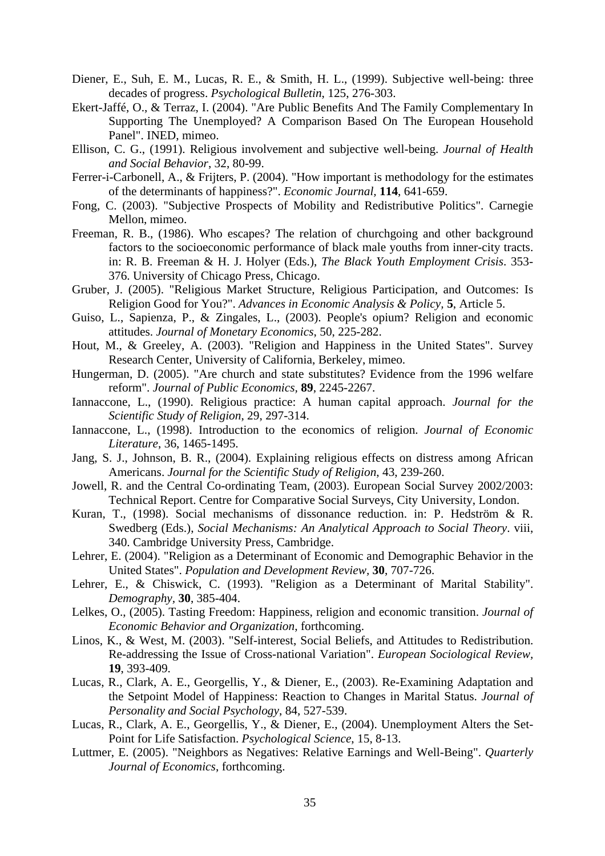- Diener, E., Suh, E. M., Lucas, R. E., & Smith, H. L., (1999). Subjective well-being: three decades of progress. *Psychological Bulletin*, 125, 276-303.
- Ekert-Jaffé, O., & Terraz, I. (2004). "Are Public Benefits And The Family Complementary In Supporting The Unemployed? A Comparison Based On The European Household Panel". INED, mimeo.
- Ellison, C. G., (1991). Religious involvement and subjective well-being. *Journal of Health and Social Behavior*, 32, 80-99.
- Ferrer-i-Carbonell, A., & Frijters, P. (2004). "How important is methodology for the estimates of the determinants of happiness?". *Economic Journal,* **114**, 641-659.
- Fong, C. (2003). "Subjective Prospects of Mobility and Redistributive Politics". Carnegie Mellon, mimeo.
- Freeman, R. B., (1986). Who escapes? The relation of churchgoing and other background factors to the socioeconomic performance of black male youths from inner-city tracts. in: R. B. Freeman & H. J. Holyer (Eds.), *The Black Youth Employment Crisis*. 353- 376. University of Chicago Press, Chicago.
- Gruber, J. (2005). "Religious Market Structure, Religious Participation, and Outcomes: Is Religion Good for You?". *Advances in Economic Analysis & Policy,* **5**, Article 5.
- Guiso, L., Sapienza, P., & Zingales, L., (2003). People's opium? Religion and economic attitudes. *Journal of Monetary Economics*, 50, 225-282.
- Hout, M., & Greeley, A. (2003). "Religion and Happiness in the United States". Survey Research Center, University of California, Berkeley, mimeo.
- Hungerman, D. (2005). "Are church and state substitutes? Evidence from the 1996 welfare reform". *Journal of Public Economics,* **89**, 2245-2267.
- Iannaccone, L., (1990). Religious practice: A human capital approach. *Journal for the Scientific Study of Religion*, 29, 297-314.
- Iannaccone, L., (1998). Introduction to the economics of religion. *Journal of Economic Literature*, 36, 1465-1495.
- Jang, S. J., Johnson, B. R., (2004). Explaining religious effects on distress among African Americans. *Journal for the Scientific Study of Religion*, 43, 239-260.
- Jowell, R. and the Central Co-ordinating Team, (2003). European Social Survey 2002/2003: Technical Report. Centre for Comparative Social Surveys, City University, London.
- Kuran, T., (1998). Social mechanisms of dissonance reduction. in: P. Hedström & R. Swedberg (Eds.), *Social Mechanisms: An Analytical Approach to Social Theory*. viii, 340. Cambridge University Press, Cambridge.
- Lehrer, E. (2004). "Religion as a Determinant of Economic and Demographic Behavior in the United States". *Population and Development Review,* **30**, 707-726.
- Lehrer, E., & Chiswick, C. (1993). "Religion as a Determinant of Marital Stability". *Demography,* **30**, 385-404.
- Lelkes, O., (2005). Tasting Freedom: Happiness, religion and economic transition. *Journal of Economic Behavior and Organization*, forthcoming.
- Linos, K., & West, M. (2003). "Self-interest, Social Beliefs, and Attitudes to Redistribution. Re-addressing the Issue of Cross-national Variation". *European Sociological Review,*  **19**, 393-409.
- Lucas, R., Clark, A. E., Georgellis, Y., & Diener, E., (2003). Re-Examining Adaptation and the Setpoint Model of Happiness: Reaction to Changes in Marital Status. *Journal of Personality and Social Psychology*, 84, 527-539.
- Lucas, R., Clark, A. E., Georgellis, Y., & Diener, E., (2004). Unemployment Alters the Set-Point for Life Satisfaction. *Psychological Science*, 15, 8-13.
- Luttmer, E. (2005). "Neighbors as Negatives: Relative Earnings and Well-Being". *Quarterly Journal of Economics*, forthcoming.